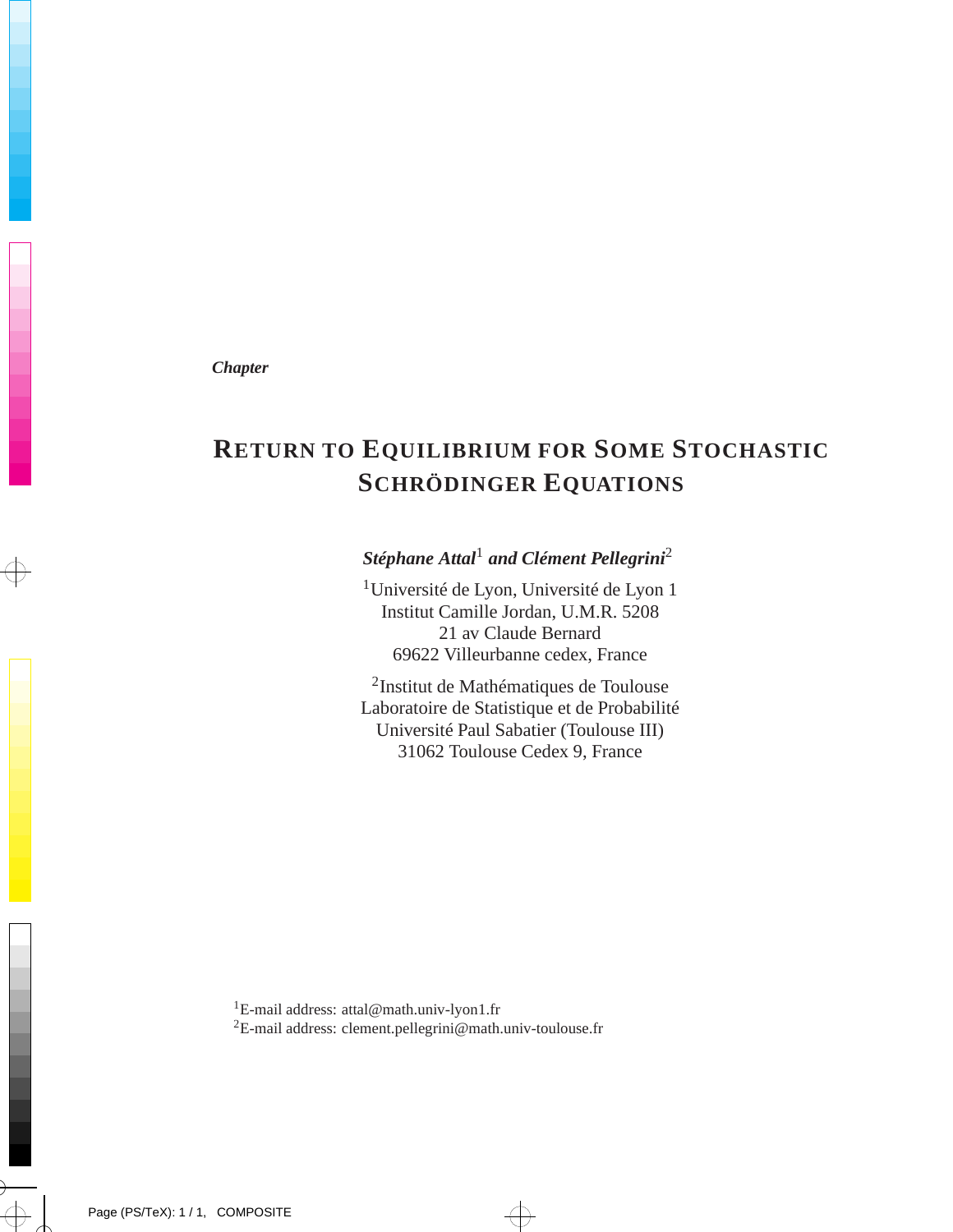*Chapter*

## **RETURN TO EQUILIBRIUM FOR SOME STOCHASTIC SCHRÖDINGER EQUATIONS**

## *Stéphane Attal*<sup>1</sup> *and Clément Pellegrini*<sup>2</sup>

<sup>1</sup>Université de Lyon, Université de Lyon 1 Institut Camille Jordan, U.M.R. 5208 21 av Claude Bernard 69622 Villeurbanne cedex, France

2 Institut de Mathématiques de Toulouse Laboratoire de Statistique et de Probabilité Université Paul Sabatier (Toulouse III) 31062 Toulouse Cedex 9, France

 $\bigoplus$ 

<sup>1</sup>E-mail address: attal@math.univ-lyon1.fr <sup>2</sup>E-mail address: clement.pellegrini@math.univ-toulouse.fr

Page (PS/TeX): 1 / 1, COMPOSITE

 $\rightarrow$ 

 $\overline{\oplus}$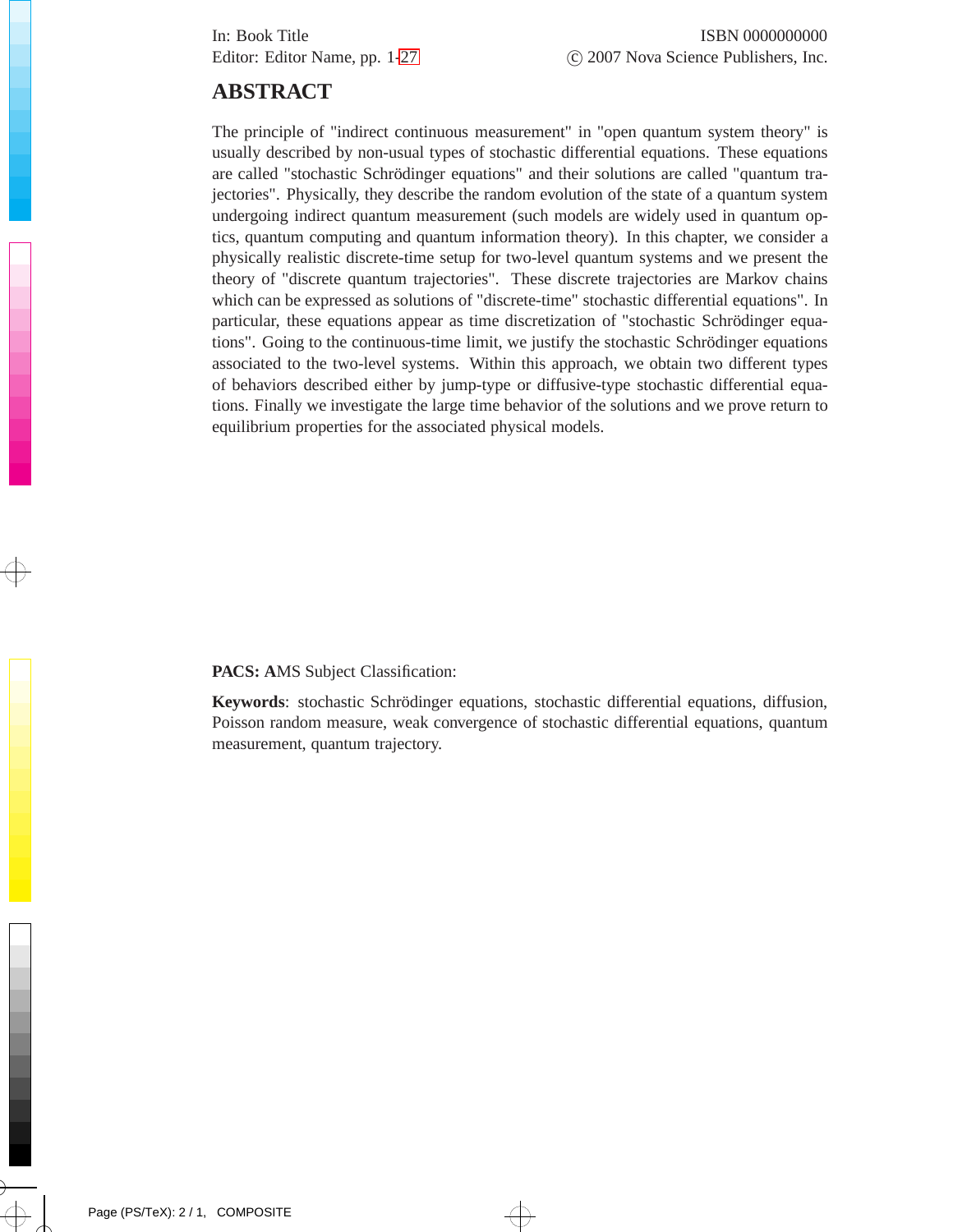In: Book Title Editor: Editor Name, pp. 1[-27](#page-25-0)

## **ABSTRACT**

The principle of "indirect continuous measurement" in "open quantum system theory" is usually described by non-usual types of stochastic differential equations. These equations are called "stochastic Schrödinger equations" and their solutions are called "quantum trajectories". Physically, they describe the random evolution of the state of a quantum system undergoing indirect quantum measurement (such models are widely used in quantum optics, quantum computing and quantum information theory). In this chapter, we consider a physically realistic discrete-time setup for two-level quantum systems and we present the theory of "discrete quantum trajectories". These discrete trajectories are Markov chains which can be expressed as solutions of "discrete-time" stochastic differential equations". In particular, these equations appear as time discretization of "stochastic Schrödinger equations". Going to the continuous-time limit, we justify the stochastic Schrödinger equations associated to the two-level systems. Within this approach, we obtain two different types of behaviors described either by jump-type or diffusive-type stochastic differential equations. Finally we investigate the large time behavior of the solutions and we prove return to equilibrium properties for the associated physical models.

**PACS: A**MS Subject Classification:

**Keywords**: stochastic Schrödinger equations, stochastic differential equations, diffusion, Poisson random measure, weak convergence of stochastic differential equations, quantum measurement, quantum trajectory.

 $\rightarrow$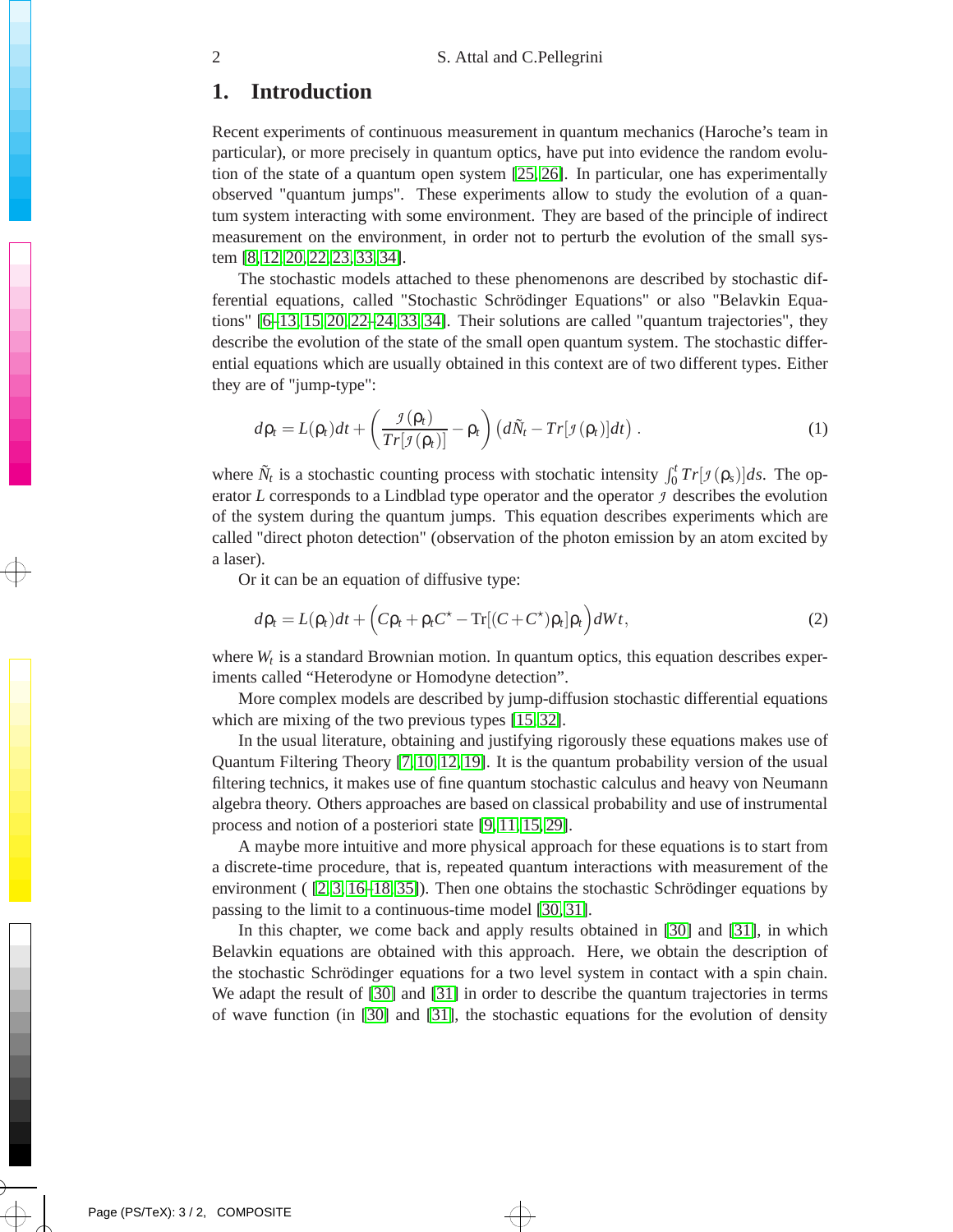## **1. Introduction**

Recent experiments of continuous measurement in quantum mechanics (Haroche's team in particular), or more precisely in quantum optics, have put into evidence the random evolution of the state of a quantum open system [\[25,](#page-26-0) [26\]](#page-26-1). In particular, one has experimentally observed "quantum jumps". These experiments allow to study the evolution of a quantum system interacting with some environment. They are based of the principle of indirect measurement on the environment, in order not to perturb the evolution of the small system [\[8,](#page-25-1) [12,](#page-25-2) [20,](#page-26-2) [22,](#page-26-3) [23,](#page-26-4) [33,](#page-27-0) [34\]](#page-27-1).

The stochastic models attached to these phenomenons are described by stochastic differential equations, called "Stochastic Schrödinger Equations" or also "Belavkin Equations" [\[6–](#page-25-3)[13,](#page-26-5) [15,](#page-26-6) [20,](#page-26-2) [22](#page-26-3)[–24,](#page-26-7) [33,](#page-27-0) [34\]](#page-27-1). Their solutions are called "quantum trajectories", they describe the evolution of the state of the small open quantum system. The stochastic differential equations which are usually obtained in this context are of two different types. Either they are of "jump-type":

<span id="page-2-0"></span>
$$
d\rho_t = L(\rho_t)dt + \left(\frac{\mathcal{I}(\rho_t)}{Tr[\mathcal{I}(\rho_t)]} - \rho_t\right)\left(d\tilde{N}_t - Tr[\mathcal{I}(\rho_t)]dt\right).
$$
\n(1)

where  $\tilde{N}_t$  is a stochastic counting process with stochatic intensity  $\int_0^t Tr[\mathcal{I}(\rho_s)]ds$ . The operator *L* corresponds to a Lindblad type operator and the operator *J* describes the evolution of the system during the quantum jumps. This equation describes experiments which are called "direct photon detection" (observation of the photon emission by an atom excited by a laser).

Or it can be an equation of diffusive type:

<span id="page-2-1"></span>
$$
d\rho_t = L(\rho_t)dt + \left(C\rho_t + \rho_t C^* - \text{Tr}[(C + C^*)\rho_t]\rho_t\right) dWt,
$$
\n(2)

where  $W_t$  is a standard Brownian motion. In quantum optics, this equation describes experiments called "Heterodyne or Homodyne detection".

More complex models are described by jump-diffusion stochastic differential equations which are mixing of the two previous types [\[15,](#page-26-6) [32\]](#page-27-2).

In the usual literature, obtaining and justifying rigorously these equations makes use of Quantum Filtering Theory [\[7,](#page-25-4) [10,](#page-25-5) [12,](#page-25-2) [19\]](#page-26-8). It is the quantum probability version of the usual filtering technics, it makes use of fine quantum stochastic calculus and heavy von Neumann algebra theory. Others approaches are based on classical probability and use of instrumental process and notion of a posteriori state [\[9,](#page-25-6) [11,](#page-25-7) [15,](#page-26-6) [29\]](#page-27-3).

A maybe more intuitive and more physical approach for these equations is to start from a discrete-time procedure, that is, repeated quantum interactions with measurement of the environment ( [\[2,](#page-25-8) [3,](#page-25-9) [16](#page-26-9)[–18,](#page-26-10) [35\]](#page-27-4)). Then one obtains the stochastic Schrödinger equations by passing to the limit to a continuous-time model [\[30,](#page-27-5) [31\]](#page-27-6).

In this chapter, we come back and apply results obtained in [\[30\]](#page-27-5) and [\[31\]](#page-27-6), in which Belavkin equations are obtained with this approach. Here, we obtain the description of the stochastic Schrödinger equations for a two level system in contact with a spin chain. We adapt the result of [\[30\]](#page-27-5) and [\[31\]](#page-27-6) in order to describe the quantum trajectories in terms of wave function (in [\[30\]](#page-27-5) and [\[31\]](#page-27-6), the stochastic equations for the evolution of density

 $\rightarrow$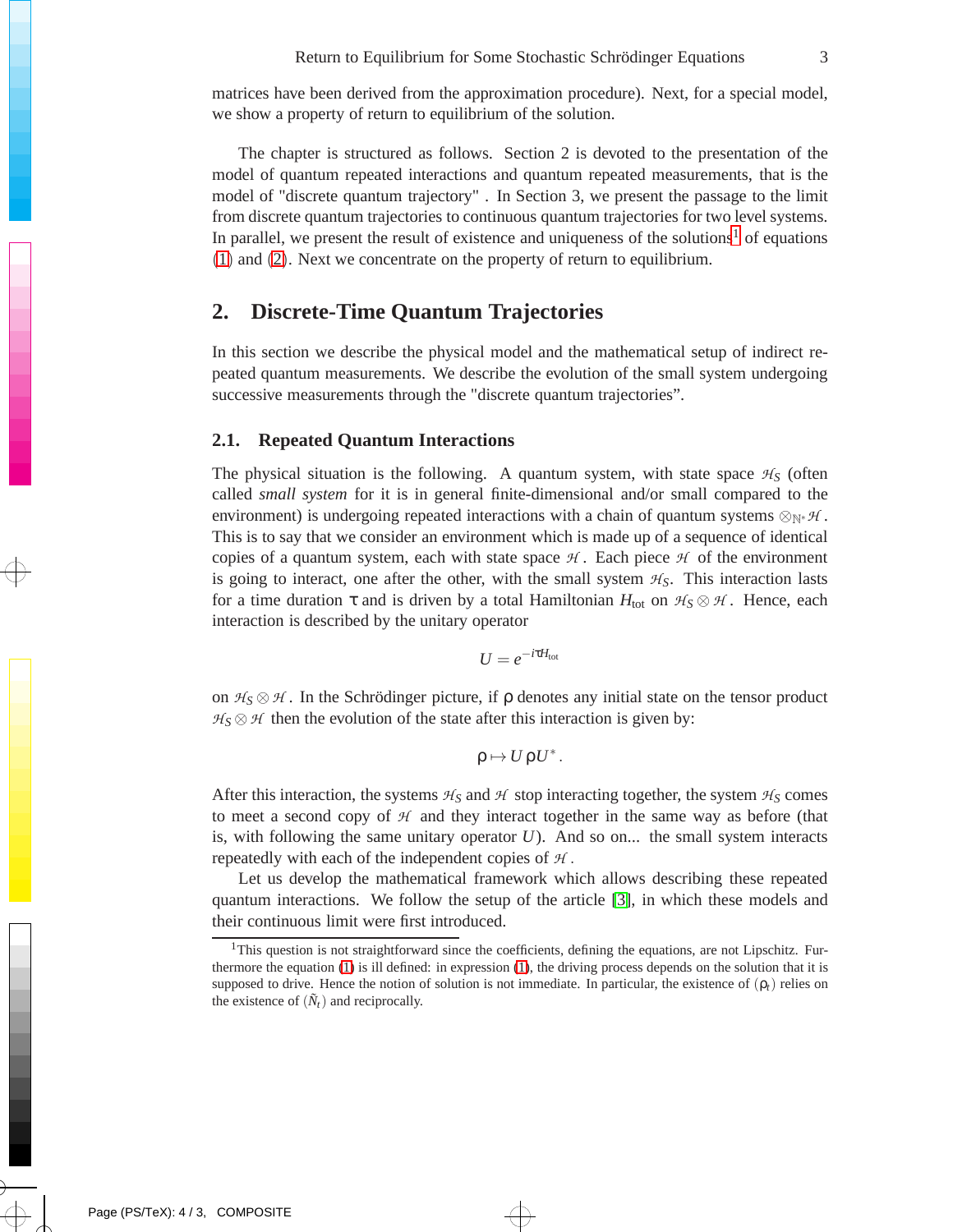matrices have been derived from the approximation procedure). Next, for a special model, we show a property of return to equilibrium of the solution.

The chapter is structured as follows. Section 2 is devoted to the presentation of the model of quantum repeated interactions and quantum repeated measurements, that is the model of "discrete quantum trajectory" . In Section 3, we present the passage to the limit from discrete quantum trajectories to continuous quantum trajectories for two level systems. In parallel, we present the result of existence and uniqueness of the solutions<sup>[1](#page-3-0)</sup> of equations ([1](#page-2-0)) and ([2](#page-2-1)). Next we concentrate on the property of return to equilibrium.

## **2. Discrete-Time Quantum Trajectories**

In this section we describe the physical model and the mathematical setup of indirect repeated quantum measurements. We describe the evolution of the small system undergoing successive measurements through the "discrete quantum trajectories".

#### **2.1. Repeated Quantum Interactions**

The physical situation is the following. A quantum system, with state space  $H<sub>S</sub>$  (often called *small system* for it is in general finite-dimensional and/or small compared to the environment) is undergoing repeated interactions with a chain of quantum systems  $\otimes_{\mathbb{N}^*} \mathcal{H}$ . This is to say that we consider an environment which is made up of a sequence of identical copies of a quantum system, each with state space  $H$ . Each piece  $H$  of the environment is going to interact, one after the other, with the small system  $H<sub>S</sub>$ . This interaction lasts for a time duration  $\tau$  and is driven by a total Hamiltonian  $H_{\text{tot}}$  on  $H_S \otimes H$ . Hence, each interaction is described by the unitary operator

$$
U=e^{-i\tau H_{\text{tot}}}
$$

on  $H_S \otimes H$ . In the Schrödinger picture, if  $\rho$  denotes any initial state on the tensor product  $H_S \otimes H$  then the evolution of the state after this interaction is given by:

$$
\rho\mapsto U\,\rho\,U^*\,.
$$

After this interaction, the systems  $H_S$  and  $H_S$  stop interacting together, the system  $H_S$  comes to meet a second copy of *H* and they interact together in the same way as before (that is, with following the same unitary operator  $U$ ). And so on... the small system interacts repeatedly with each of the independent copies of *H* .

Let us develop the mathematical framework which allows describing these repeated quantum interactions. We follow the setup of the article [\[3\]](#page-25-9), in which these models and their continuous limit were first introduced.

 $\rightarrow$ 

<span id="page-3-0"></span><sup>&</sup>lt;sup>1</sup>This question is not straightforward since the coefficients, defining the equations, are not Lipschitz. Furthermore the equation [\(1\)](#page-2-0) is ill defined: in expression [\(1\)](#page-2-0), the driving process depends on the solution that it is supposed to drive. Hence the notion of solution is not immediate. In particular, the existence of  $(\rho_t)$  relies on the existence of  $(\tilde{N}_t)$  and reciprocally.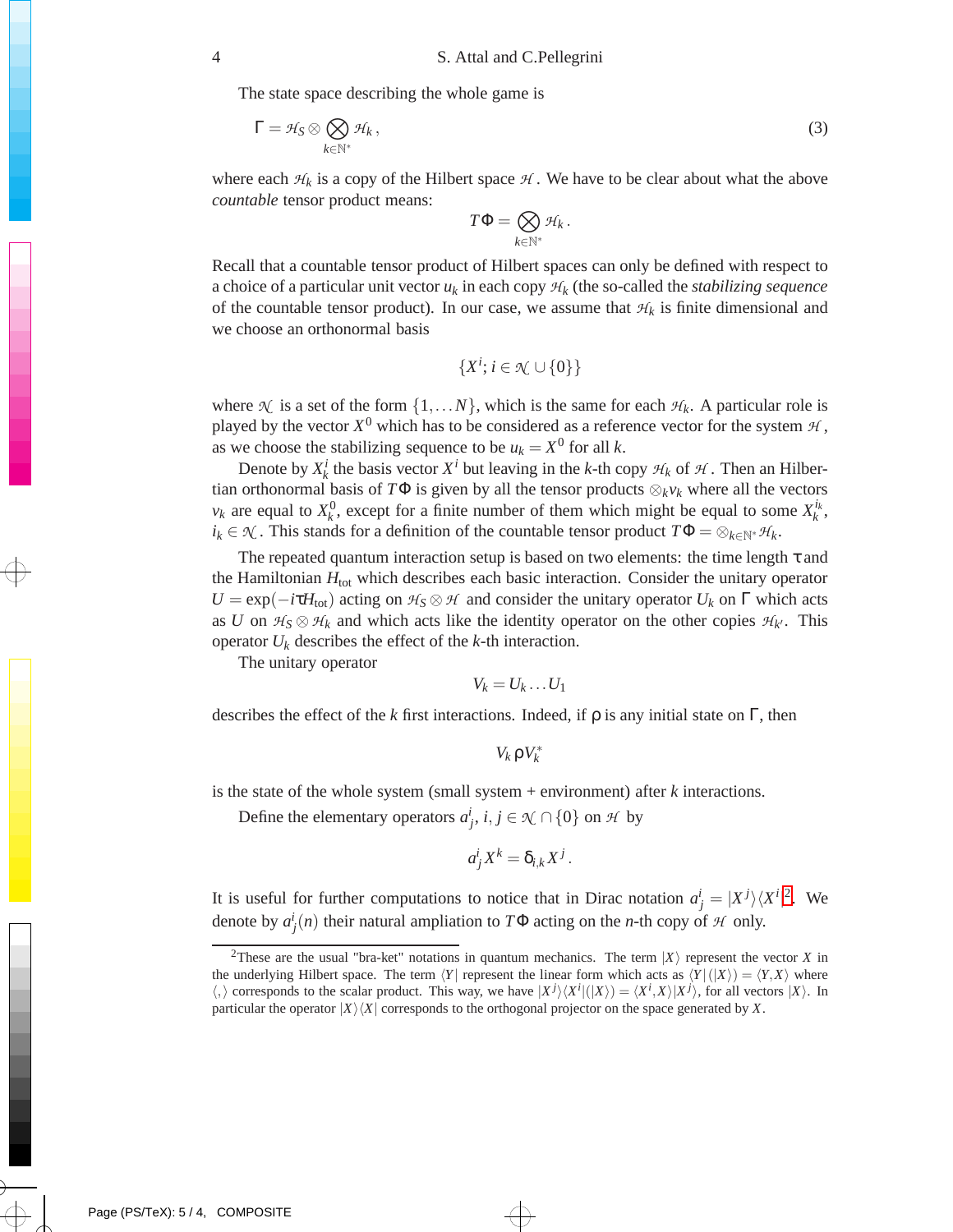The state space describing the whole game is

$$
\Gamma = \mathcal{H}_S \otimes \bigotimes_{k \in \mathbb{N}^*} \mathcal{H}_k, \tag{3}
$$

where each  $H_k$  is a copy of the Hilbert space  $H$ . We have to be clear about what the above *countable* tensor product means:

$$
T\Phi = \bigotimes_{k \in \mathbb{N}^*} \mathcal{H}_k.
$$

Recall that a countable tensor product of Hilbert spaces can only be defined with respect to a choice of a particular unit vector  $u_k$  in each copy  $H_k$  (the so-called the *stabilizing sequence* of the countable tensor product). In our case, we assume that  $H_k$  is finite dimensional and we choose an orthonormal basis

$$
\{X^i; \, i \in \mathcal{K} \cup \{0\}\}
$$

where  $\mathcal{N}$  is a set of the form  $\{1, \ldots N\}$ , which is the same for each  $\mathcal{H}_k$ . A particular role is played by the vector  $X^0$  which has to be considered as a reference vector for the system  $H$ , as we choose the stabilizing sequence to be  $u_k = X^0$  for all *k*.

Denote by  $X_k^i$  the basis vector  $X^i$  but leaving in the *k*-th copy  $H_k$  of  $H$ . Then an Hilbertian orthonormal basis of  $T\Phi$  is given by all the tensor products  $\otimes_k v_k$  where all the vectors  $v_k$  are equal to  $X_k^0$ , except for a finite number of them which might be equal to some  $X_k^{i_k}$ ,  $i_k \in \mathcal{N}$ . This stands for a definition of the countable tensor product  $T\Phi = \otimes_{k \in \mathbb{N}^*} \mathcal{H}_k$ .

The repeated quantum interaction setup is based on two elements: the time length τ and the Hamiltonian  $H_{\text{tot}}$  which describes each basic interaction. Consider the unitary operator  $U = \exp(-i\tau H_{tot})$  acting on  $H_S \otimes H$  and consider the unitary operator  $U_k$  on  $\Gamma$  which acts as *U* on  $H_S \otimes H_k$  and which acts like the identity operator on the other copies  $H_{k'}$ . This operator  $U_k$  describes the effect of the  $k$ -th interaction.

The unitary operator

$$
V_k=U_k\ldots U_1
$$

describes the effect of the *k* first interactions. Indeed, if ρ is any initial state on Γ, then

$$
V_k \, \rho \, V_k^*
$$

is the state of the whole system (small system + environment) after *k* interactions.

Define the elementary operators  $a_j^i$ ,  $i, j \in \mathcal{K} \cap \{0\}$  on *H* by

$$
a_j^i X^k = \delta_{i,k} X^j.
$$

It is useful for further computations to notice that in Dirac notation  $a_j^i = |X^j\rangle\langle X^i|^2$  $a_j^i = |X^j\rangle\langle X^i|^2$ . We denote by  $a_j^i(n)$  their natural ampliation to  $T\Phi$  acting on the *n*-th copy of  $H$  only.

 $\rightarrow$ 

<span id="page-4-0"></span><sup>&</sup>lt;sup>2</sup>These are the usual "bra-ket" notations in quantum mechanics. The term  $|X\rangle$  represent the vector *X* in the underlying Hilbert space. The term  $\langle Y|$  represent the linear form which acts as  $\langle Y|(|X\rangle) = \langle Y, X \rangle$  where  $\langle , \rangle$  corresponds to the scalar product. This way, we have  $|X^j\rangle\langle X^i|(X)\rangle = \langle X^i, X\rangle |X^j\rangle$ , for all vectors  $|X\rangle$ . In particular the operator  $|X\rangle\langle X|$  corresponds to the orthogonal projector on the space generated by *X*.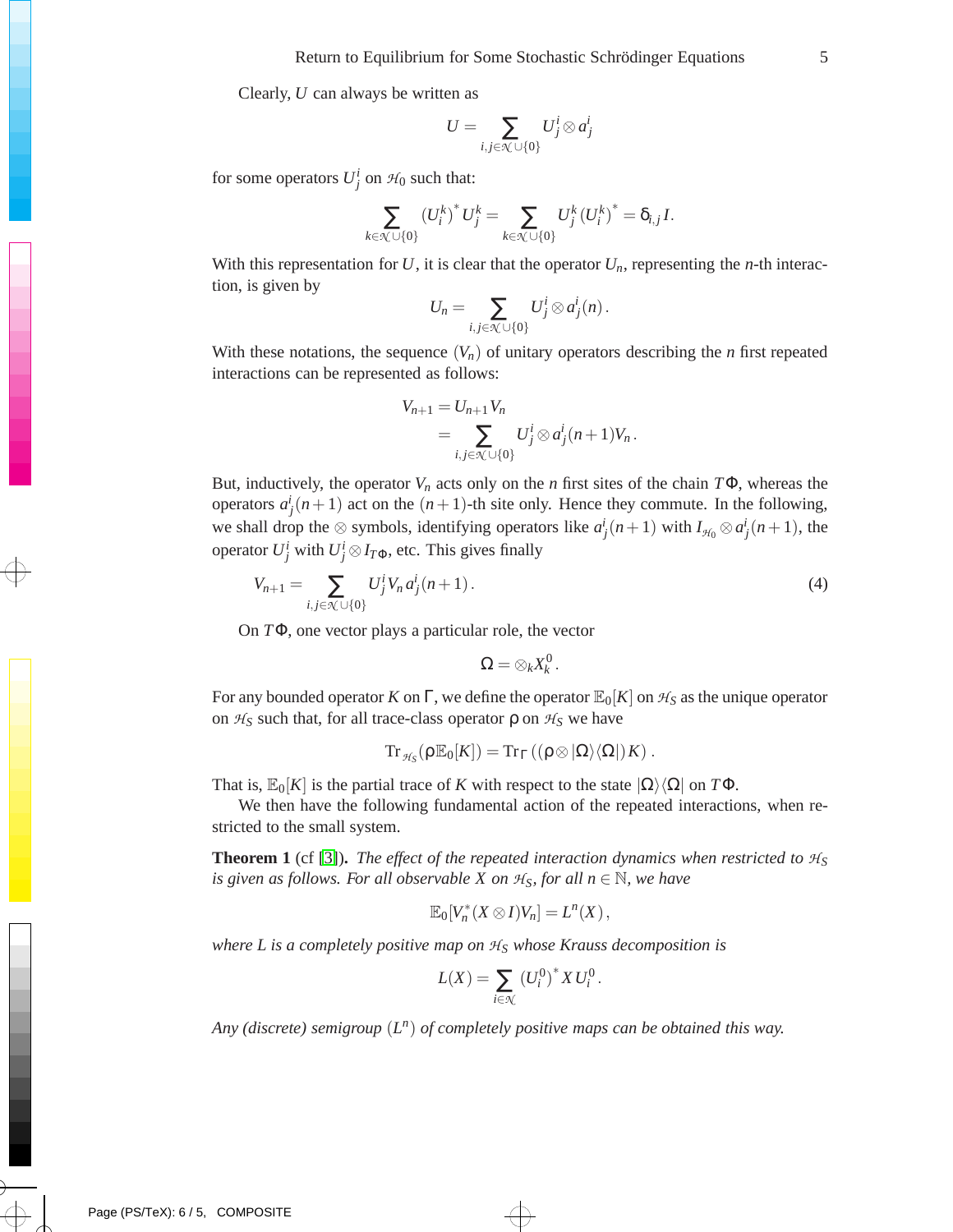Clearly, *U* can always be written as

$$
U=\sum_{i,j\in\mathcal{K}\cup\{0\}}U^i_j\otimes a^i_j
$$

for some operators  $U_j^i$  on  $\mathcal{H}_0$  such that:

$$
\sum_{k\in\mathcal{K}\cup\{0\}} (U_i^k)^* U_j^k = \sum_{k\in\mathcal{K}\cup\{0\}} U_j^k (U_i^k)^* = \delta_{i,j} I.
$$

With this representation for  $U$ , it is clear that the operator  $U_n$ , representing the *n*-th interaction, is given by

$$
U_n=\sum_{i,j\in\mathcal{K}\cup\{0\}}U_j^i\otimes a_j^i(n).
$$

With these notations, the sequence  $(V_n)$  of unitary operators describing the *n* first repeated interactions can be represented as follows:

$$
V_{n+1} = U_{n+1} V_n
$$
  
= 
$$
\sum_{i,j \in \mathcal{K} \cup \{0\}} U_j^i \otimes a_j^i (n+1) V_n.
$$

But, inductively, the operator  $V_n$  acts only on the *n* first sites of the chain  $T\Phi$ , whereas the operators  $a_j^i(n+1)$  act on the  $(n+1)$ -th site only. Hence they commute. In the following, we shall drop the  $\otimes$  symbols, identifying operators like  $a^i_j(n+1)$  with  $I_{\mathcal{H}_0} \otimes a^i_j(n+1)$ , the operator  $U_j^i$  with  $U_j^i \otimes I_{T\Phi}$ , etc. This gives finally

$$
V_{n+1} = \sum_{i,j \in \mathcal{K} \cup \{0\}} U_j^i V_n a_j^i (n+1).
$$
 (4)

On *T*Φ, one vector plays a particular role, the vector

$$
\Omega=\otimes_k X^0_k.
$$

For any bounded operator *K* on  $\Gamma$ , we define the operator  $\mathbb{E}_0[K]$  on  $\mathcal{H}_S$  as the unique operator on  $H_S$  such that, for all trace-class operator  $\rho$  on  $H_S$  we have

$$
\mathrm{Tr}_{\mathcal{H}_S}(\rho\,\mathbb{E}_0[K])=\mathrm{Tr}_{\Gamma}\left(\left(\rho\otimes |\Omega\rangle\langle\Omega|\right)K\right).
$$

That is,  $\mathbb{E}_0[K]$  is the partial trace of *K* with respect to the state  $|\Omega\rangle\langle\Omega|$  on  $T\Phi$ .

We then have the following fundamental action of the repeated interactions, when restricted to the small system.

**Theorem 1** (cf [\[3\]](#page-25-9)). The effect of the repeated interaction dynamics when restricted to  $H_S$ *is given as follows. For all observable X on*  $H_S$ *, for all n*  $\in$  N, we have

$$
\mathbb{E}_0[V_n^*(X \otimes I)V_n] = L^n(X),
$$

*where L is a completely positive map on H<sup>S</sup> whose Krauss decomposition is*

$$
L(X) = \sum_{i \in \mathcal{K}} (U_i^0)^* X U_i^0.
$$

Any (discrete) semigroup  $(L^n)$  of completely positive maps can be obtained this way.

Page (PS/TeX): 6 / 5, COMPOSITE

 $\rightarrow$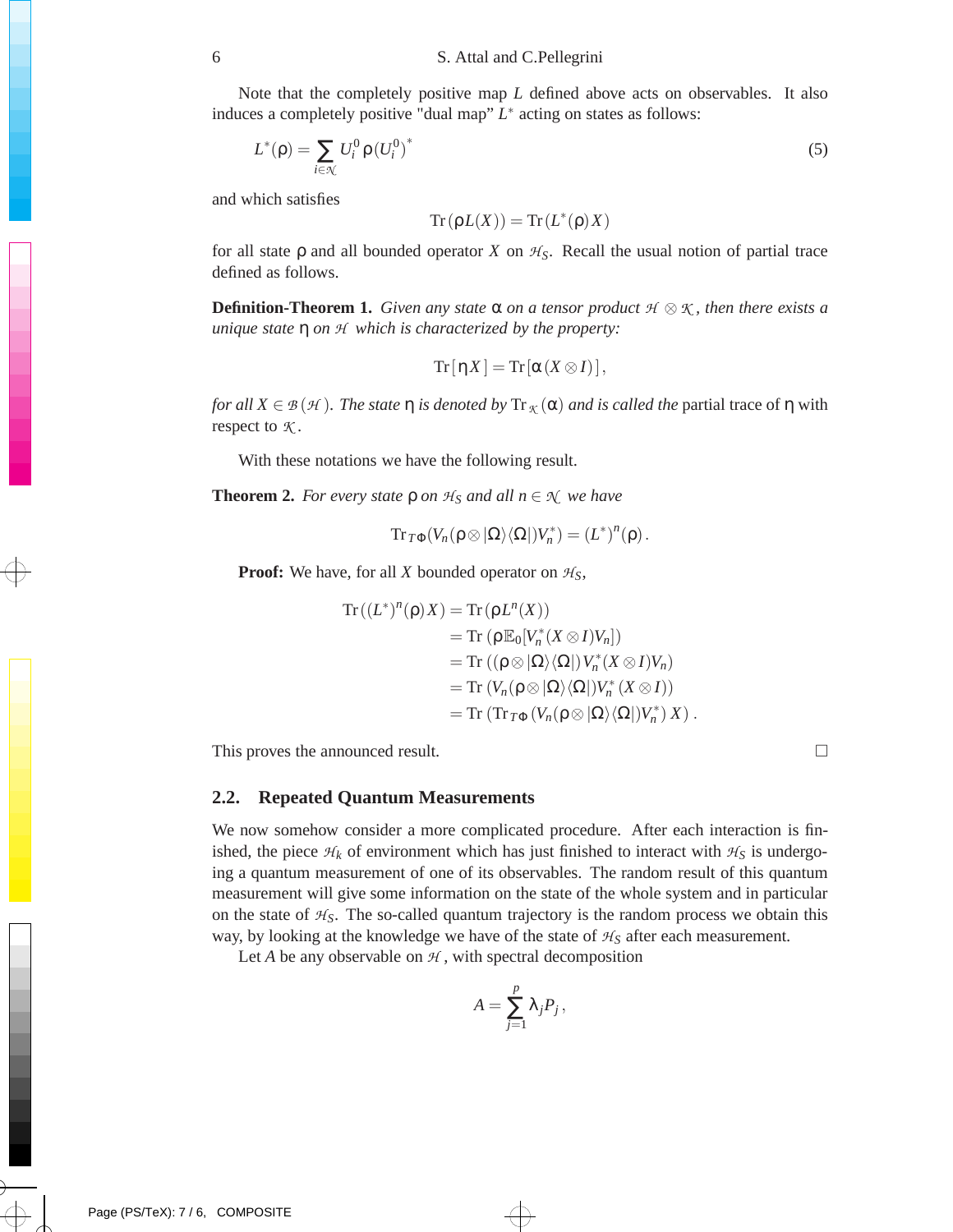Note that the completely positive map *L* defined above acts on observables. It also induces a completely positive "dual map"  $L^*$  acting on states as follows:

$$
L^*(\rho) = \sum_{i \in \mathcal{K}} U_i^0 \rho (U_i^0)^*
$$
 (5)

and which satisfies

$$
Tr(\rho L(X)) = Tr(L^*(\rho)X)
$$

for all state ρ and all bounded operator *X* on *HS*. Recall the usual notion of partial trace defined as follows.

**Definition-Theorem 1.** *Given any state* <sup>α</sup> *on a tensor product H* <sup>⊗</sup>*K , then there exists a unique state* η *on H which is characterized by the property:*

$$
\mathrm{Tr}\left[\eta X\right]=\mathrm{Tr}\left[\alpha(X\otimes I)\right],
$$

*for all*  $X \in \mathcal{B}(\mathcal{H})$ *. The state*  $\eta$  *is denoted by*  $Tr_{\mathcal{K}}(\alpha)$  *and is called the partial trace of*  $\eta$  with respect to *K .*

With these notations we have the following result.

<span id="page-6-0"></span>**Theorem 2.** *For every state*  $\rho$  *on*  $H_S$  *and all*  $n \in \mathcal{N}$  *we have* 

$$
\mathrm{Tr}_{T\Phi}(V_n(\rho \otimes |\Omega\rangle\langle\Omega|)V_n^*) = (L^*)^n(\rho).
$$

**Proof:** We have, for all *X* bounded operator on *HS*,

$$
Tr((L^*)^n(\rho)X) = Tr(\rho L^n(X))
$$
  
= Tr(\rho \mathbb{E}\_0[V\_n^\*(X \otimes I)V\_n])  
= Tr((\rho \otimes |\Omega\rangle\langle\Omega|) V\_n^\*(X \otimes I)V\_n)  
= Tr(V\_n(\rho \otimes |\Omega\rangle\langle\Omega|) V\_n^\*(X \otimes I))  
= Tr(Tr\_{T\Phi}(V\_n(\rho \otimes |\Omega\rangle\langle\Omega|) V\_n^\*) X).

This proves the announced result.

#### **2.2. Repeated Quantum Measurements**

We now somehow consider a more complicated procedure. After each interaction is finished, the piece  $H_k$  of environment which has just finished to interact with  $H_s$  is undergoing a quantum measurement of one of its observables. The random result of this quantum measurement will give some information on the state of the whole system and in particular on the state of *HS*. The so-called quantum trajectory is the random process we obtain this way, by looking at the knowledge we have of the state of  $H<sub>S</sub>$  after each measurement.

Let  $A$  be any observable on  $H$ , with spectral decomposition

$$
A=\sum_{j=1}^p\lambda_jP_j,
$$

Page (PS/TeX): 7 / 6, COMPOSITE

 $\rightarrow$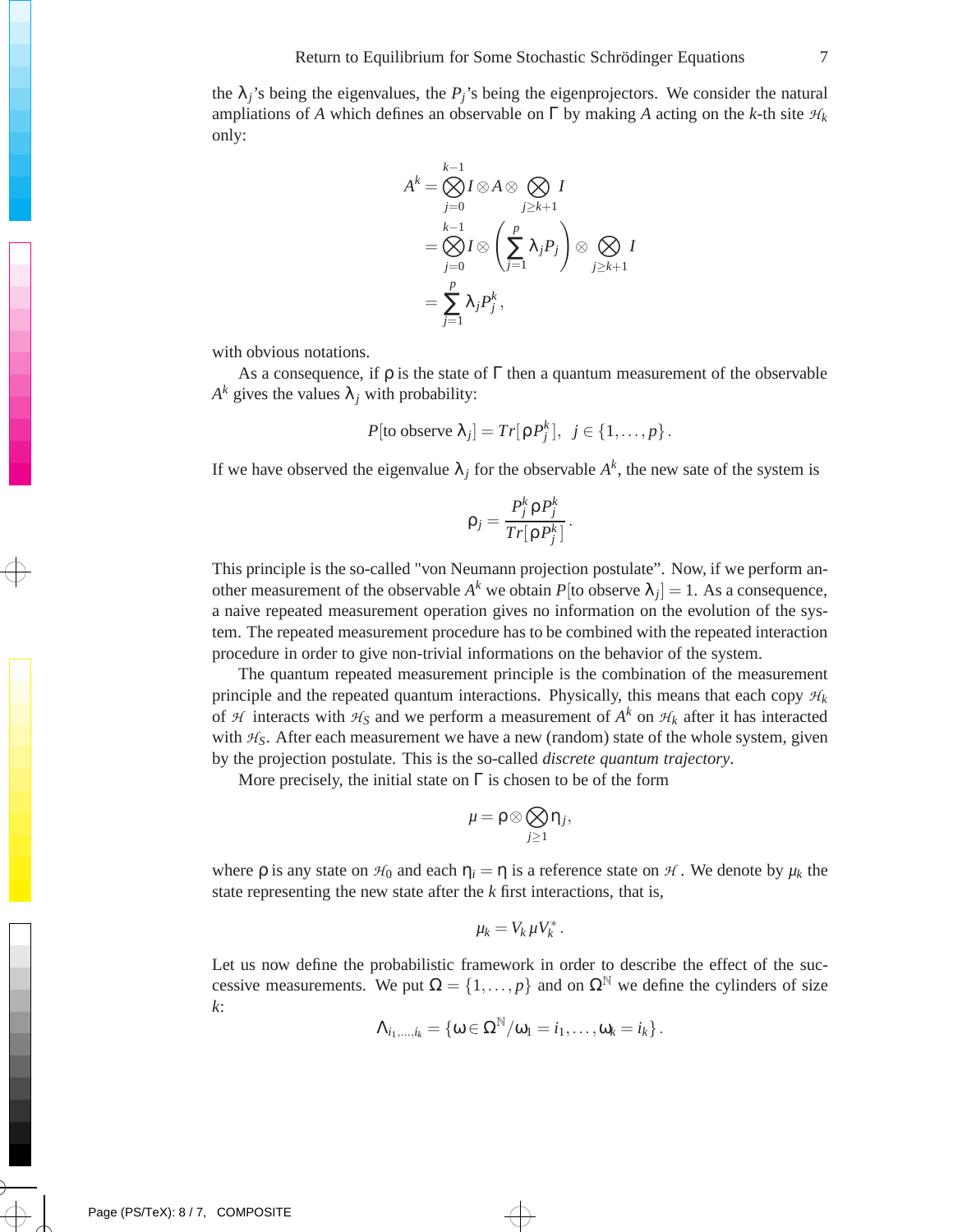the  $\lambda_i$ 's being the eigenvalues, the  $P_i$ 's being the eigenprojectors. We consider the natural ampliations of *A* which defines an observable on  $\Gamma$  by making *A* acting on the *k*-th site  $H_k$ only:

$$
A^{k} = \bigotimes_{j=0}^{k-1} I \otimes A \otimes \bigotimes_{j\geq k+1} I
$$
  
= 
$$
\bigotimes_{j=0}^{k-1} I \otimes \left(\sum_{j=1}^{p} \lambda_{j} P_{j}\right) \otimes \bigotimes_{j\geq k+1} I
$$
  
= 
$$
\sum_{j=1}^{p} \lambda_{j} P_{j}^{k},
$$

with obvious notations.

As a consequence, if  $\rho$  is the state of  $\Gamma$  then a quantum measurement of the observable  $A^k$  gives the values  $\lambda_j$  with probability:

$$
P[\text{to observe }\lambda_j] = Tr[\rho P_j^k], \ \ j \in \{1,\ldots,p\}.
$$

If we have observed the eigenvalue  $\lambda_j$  for the observable  $A^k$ , the new sate of the system is

$$
\rho_j = \frac{P_j^k \rho P_j^k}{Tr[\rho P_j^k]}
$$

.

This principle is the so-called "von Neumann projection postulate". Now, if we perform another measurement of the observable  $A^k$  we obtain  $P$ [to observe  $\lambda_j$ ] = 1. As a consequence, a naive repeated measurement operation gives no information on the evolution of the system. The repeated measurement procedure has to be combined with the repeated interaction procedure in order to give non-trivial informations on the behavior of the system.

The quantum repeated measurement principle is the combination of the measurement principle and the repeated quantum interactions. Physically, this means that each copy  $H_k$ of *H* interacts with  $H_S$  and we perform a measurement of  $A^k$  on  $H_k$  after it has interacted with  $H<sub>S</sub>$ . After each measurement we have a new (random) state of the whole system, given by the projection postulate. This is the so-called *discrete quantum trajectory*.

More precisely, the initial state on  $\Gamma$  is chosen to be of the form

$$
\mu=\rho\otimes\bigotimes_{j\geq 1}\eta_j,
$$

where  $\rho$  is any state on  $H_0$  and each  $\eta_i = \eta$  is a reference state on  $H$ . We denote by  $\mu_k$  the state representing the new state after the *k* first interactions, that is,

$$
\mu_k=V_k\mu V_k^*.
$$

Let us now define the probabilistic framework in order to describe the effect of the successive measurements. We put  $\Omega = \{1, \ldots, p\}$  and on  $\Omega^{\mathbb{N}}$  we define the cylinders of size *k*:

$$
\Lambda_{i_1,\ldots,i_k}=\{\omega\in\Omega^{\mathbb{N}}/\omega_1=i_1,\ldots,\omega_k=i_k\}\,.
$$

 $\rightarrow$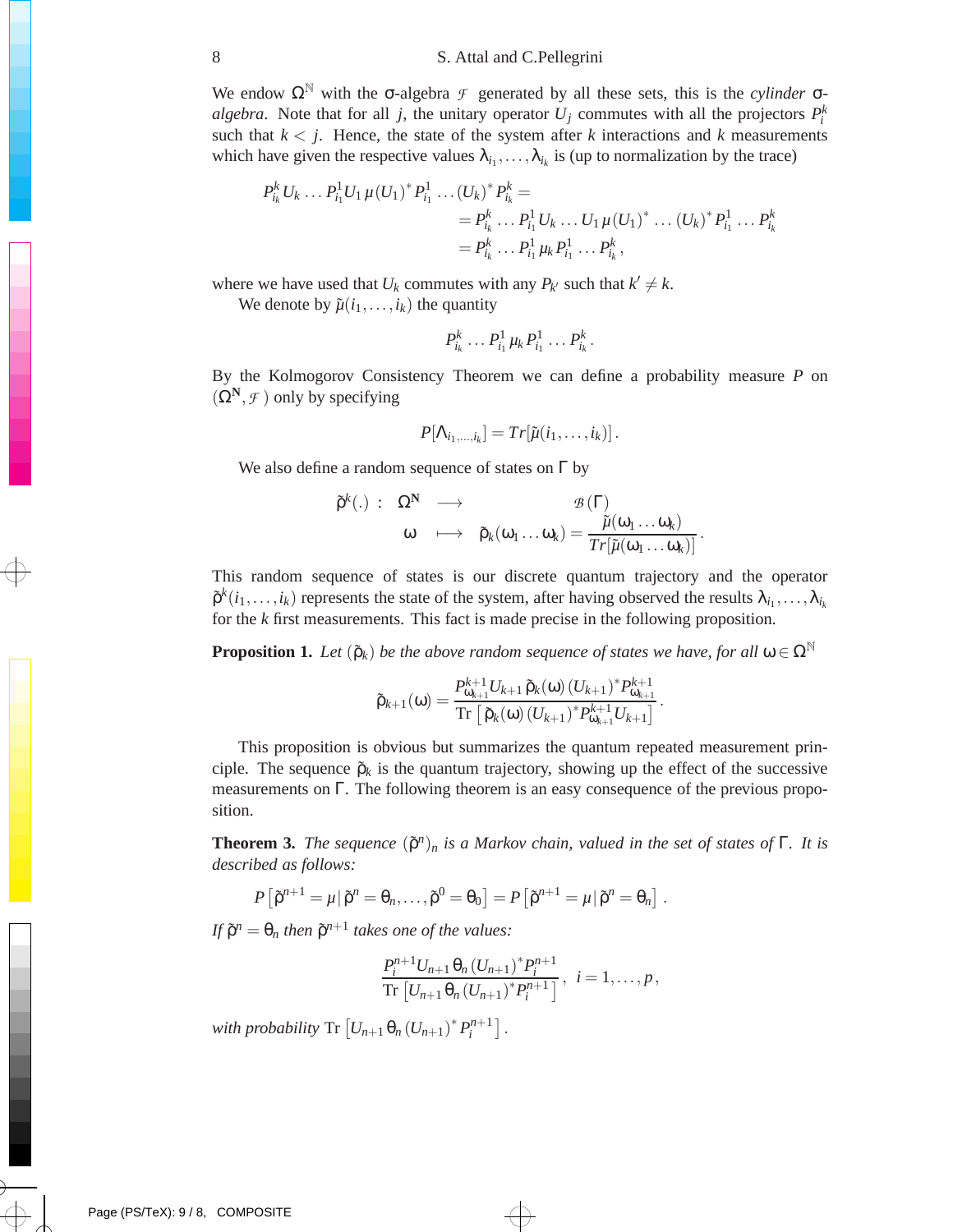We endow  $\Omega^{\mathbb{N}}$  with the  $\sigma$ -algebra  $\mathcal F$  generated by all these sets, this is the *cylinder*  $\sigma$ *algebra*. Note that for all *j*, the unitary operator  $U_j$  commutes with all the projectors  $P_i^k$ such that  $k < j$ . Hence, the state of the system after  $k$  interactions and  $k$  measurements which have given the respective values  $\lambda_{i_1}, \ldots, \lambda_{i_k}$  is (up to normalization by the trace)

$$
P_{i_k}^k U_k \dots P_{i_1}^1 U_1 \mu(U_1)^* P_{i_1}^1 \dots (U_k)^* P_{i_k}^k =
$$
  
=  $P_{i_k}^k \dots P_{i_1}^1 U_k \dots U_1 \mu(U_1)^* \dots (U_k)^* P_{i_1}^1 \dots P_{i_k}^k$   
=  $P_{i_k}^k \dots P_{i_1}^1 \mu_k P_{i_1}^1 \dots P_{i_k}^k$ ,

where we have used that  $U_k$  commutes with any  $P_{k'}$  such that  $k' \neq k$ .

We denote by  $\tilde{\mu}(i_1,\ldots,i_k)$  the quantity

$$
P_{i_k}^k \ldots P_{i_1}^1 \mu_k P_{i_1}^1 \ldots P_{i_k}^k.
$$

By the Kolmogorov Consistency Theorem we can define a probability measure *P* on  $(\Omega^{\mathbf{N}}, \mathcal{F})$  only by specifying

$$
P[\Lambda_{i_1,\ldots,i_k}]=Tr[\tilde{\mu}(i_1,\ldots,i_k)].
$$

We also define a random sequence of states on  $\Gamma$  by

$$
\tilde{\rho}^k(.) : \Omega^N \longrightarrow \mathcal{B}(\Gamma) \n\omega \longmapsto \tilde{\rho}_k(\omega_1 \dots \omega_k) = \frac{\tilde{\mu}(\omega_1 \dots \omega_k)}{Tr[\tilde{\mu}(\omega_1 \dots \omega_k)]}.
$$

This random sequence of states is our discrete quantum trajectory and the operator  $\tilde{\rho}^k(i_1,\ldots,i_k)$  represents the state of the system, after having observed the results  $\lambda_{i_1},\ldots,\lambda_{i_k}$ for the *k* first measurements. This fact is made precise in the following proposition.

**Proposition 1.** Let  $(\tilde{\rho}_k)$  be the above random sequence of states we have, for all  $\omega \in \Omega^{\mathbb{N}}$ 

$$
\tilde{\rho}_{k+1}(\omega) = \frac{P_{\omega_{k+1}}^{k+1} U_{k+1} \tilde{\rho}_k(\omega) (U_{k+1})^* P_{\omega_{k+1}}^{k+1}}{\text{Tr} \left[ \tilde{\rho}_k(\omega) (U_{k+1})^* P_{\omega_{k+1}}^{k+1} U_{k+1} \right]}.
$$

This proposition is obvious but summarizes the quantum repeated measurement principle. The sequence  $\tilde{\rho}_k$  is the quantum trajectory, showing up the effect of the successive measurements on Γ. The following theorem is an easy consequence of the previous proposition.

<span id="page-8-0"></span>**Theorem 3.** *The sequence*  $(\tilde{p}^n)_n$  *is a Markov chain, valued in the set of states of* Γ. *It is described as follows:*

$$
P\left[\tilde{\rho}^{n+1}=\mu\,|\,\tilde{\rho}^n=\theta_n,\ldots,\tilde{\rho}^0=\theta_0\right]=P\left[\tilde{\rho}^{n+1}=\mu\,|\,\tilde{\rho}^n=\theta_n\right].
$$

*If*  $\tilde{\rho}^n = \theta_n$  *then*  $\tilde{\rho}^{n+1}$  *takes one of the values:* 

$$
\frac{P_i^{n+1}U_{n+1}\theta_n (U_{n+1})^* P_i^{n+1}}{\operatorname{Tr}\left[U_{n+1}\theta_n (U_{n+1})^* P_i^{n+1}\right]}, i=1,\ldots,p,
$$

*with probability*  $\text{Tr} \left[ U_{n+1} \theta_n (U_{n+1})^* P_i^{n+1} \right]$ .

Page (PS/TeX): 9 / 8, COMPOSITE

 $\rightarrow$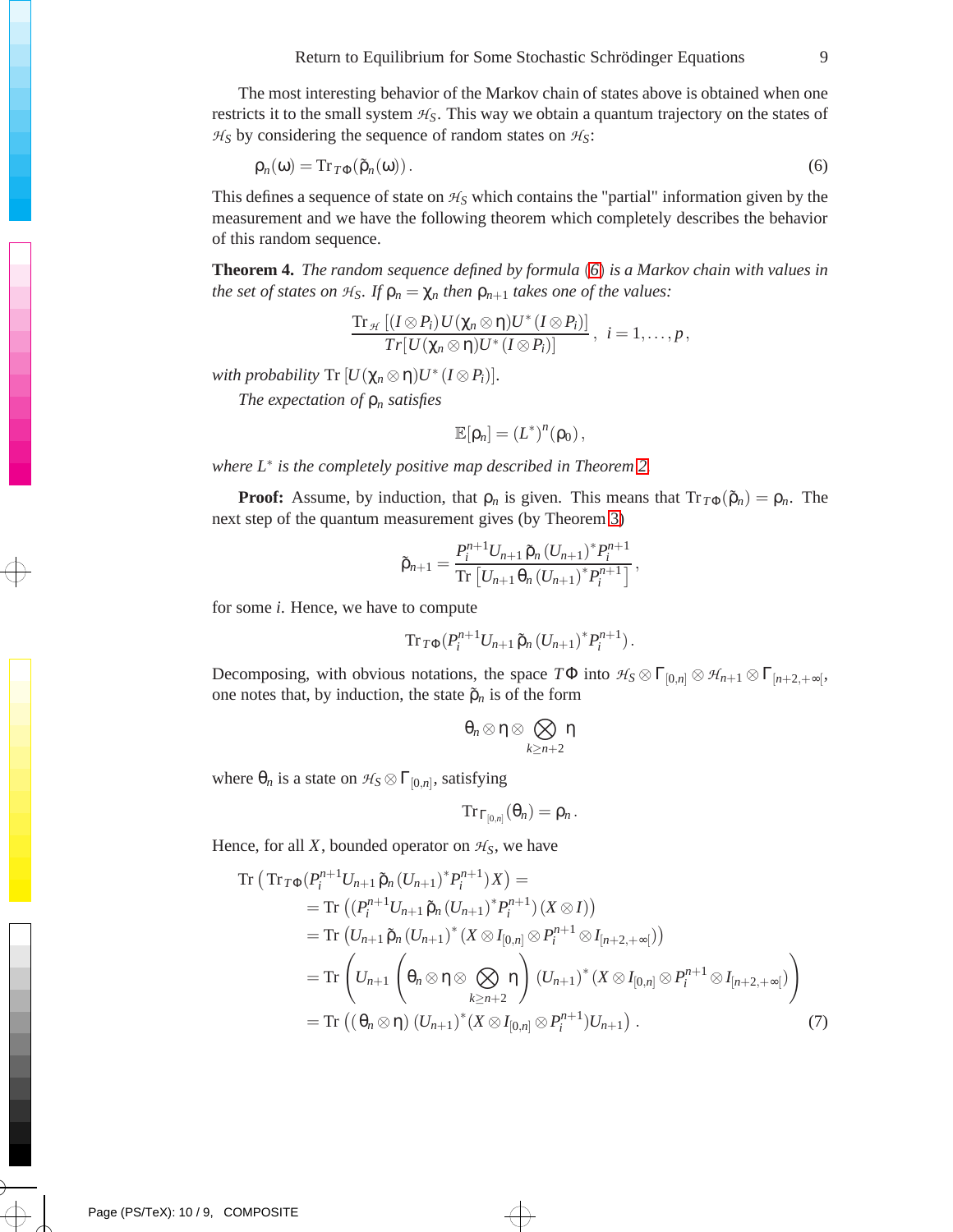The most interesting behavior of the Markov chain of states above is obtained when one restricts it to the small system *HS*. This way we obtain a quantum trajectory on the states of  $H_S$  by considering the sequence of random states on  $H_S$ :

$$
\rho_n(\omega) = \text{Tr}_{T\Phi}(\tilde{\rho}_n(\omega)). \tag{6}
$$

This defines a sequence of state on  $H<sub>S</sub>$  which contains the "partial" information given by the measurement and we have the following theorem which completely describes the behavior of this random sequence.

**Theorem 4.** *The random sequence defined by formula* (*[6](#page-9-0)*) *is a Markov chain with values in the set of states on*  $H_S$ *. If*  $\rho_n = \chi_n$  *then*  $\rho_{n+1}$  *takes one of the values:* 

<span id="page-9-0"></span>
$$
\frac{\operatorname{Tr}_{\mathcal{H}}\left[(I\otimes P_i)U(\chi_n\otimes\eta)U^*(I\otimes P_i)\right]}{\operatorname{Tr}\left[U(\chi_n\otimes\eta)U^*(I\otimes P_i)\right]},\ i=1,\ldots,p,
$$

*with probability*  $\text{Tr} \left[ U(\chi_n \otimes \eta)U^*(I \otimes P_i) \right]$ .

*The expectation of* ρ*<sup>n</sup> satisfies*

$$
\mathbb{E}[\rho_n] = (L^*)^n(\rho_0),
$$

*where L*∗ *is the completely positive map described in Theorem [2.](#page-6-0)*

**Proof:** Assume, by induction, that  $\rho_n$  is given. This means that  $Tr_{T\Phi}(\tilde{\rho}_n) = \rho_n$ . The next step of the quantum measurement gives (by Theorem [3\)](#page-8-0)

$$
\tilde{\rho}_{n+1} = \frac{P_i^{n+1} U_{n+1} \tilde{\rho}_n (U_{n+1})^* P_i^{n+1}}{\text{Tr} \left[ U_{n+1} \theta_n (U_{n+1})^* P_i^{n+1} \right]},
$$

for some *i*. Hence, we have to compute

$$
\mathrm{Tr}_{T\Phi}(P_i^{n+1}U_{n+1}\tilde{\rho}_n(U_{n+1})^*P_i^{n+1}).
$$

Decomposing, with obvious notations, the space  $T\Phi$  into  $\mathcal{H}_{S} \otimes \Gamma_{[0,n]} \otimes \mathcal{H}_{n+1} \otimes \Gamma_{[n+2,+\infty]}$ , one notes that, by induction, the state  $\tilde{\rho}_n$  is of the form

$$
\theta_n\otimes \eta\otimes \bigotimes_{k\geq n+2} \eta
$$

where  $\theta_n$  is a state on  $\mathcal{H}_S \otimes \Gamma_{[0,n]}$ , satisfying

<span id="page-9-1"></span>
$$
\mathrm{Tr}_{\Gamma_{[0,n]}}(\theta_n)=\rho_n\,.
$$

Hence, for all *X*, bounded operator on  $H<sub>S</sub>$ , we have

$$
\begin{split}\n\operatorname{Tr}\left(\operatorname{Tr}_{T\Phi}(P_{i}^{n+1}U_{n+1}\tilde{\rho}_{n}(U_{n+1})^{*}P_{i}^{n+1})X\right) &= \\
&= \operatorname{Tr}\left((P_{i}^{n+1}U_{n+1}\tilde{\rho}_{n}(U_{n+1})^{*}P_{i}^{n+1})(X\otimes I)\right) \\
&= \operatorname{Tr}\left(U_{n+1}\tilde{\rho}_{n}(U_{n+1})^{*}(X\otimes I_{[0,n]}\otimes P_{i}^{n+1}\otimes I_{[n+2,+\infty[})\right) \\
&= \operatorname{Tr}\left(U_{n+1}\left(\theta_{n}\otimes\eta\otimes\bigotimes_{k\geq n+2}\eta\right)(U_{n+1})^{*}(X\otimes I_{[0,n]}\otimes P_{i}^{n+1}\otimes I_{[n+2,+\infty[})\right) \\
&= \operatorname{Tr}\left((\theta_{n}\otimes\eta)(U_{n+1})^{*}(X\otimes I_{[0,n]}\otimes P_{i}^{n+1})U_{n+1}\right).\n\end{split} \tag{7}
$$

Page (PS/TeX): 10 / 9, COMPOSITE

 $\rightarrow$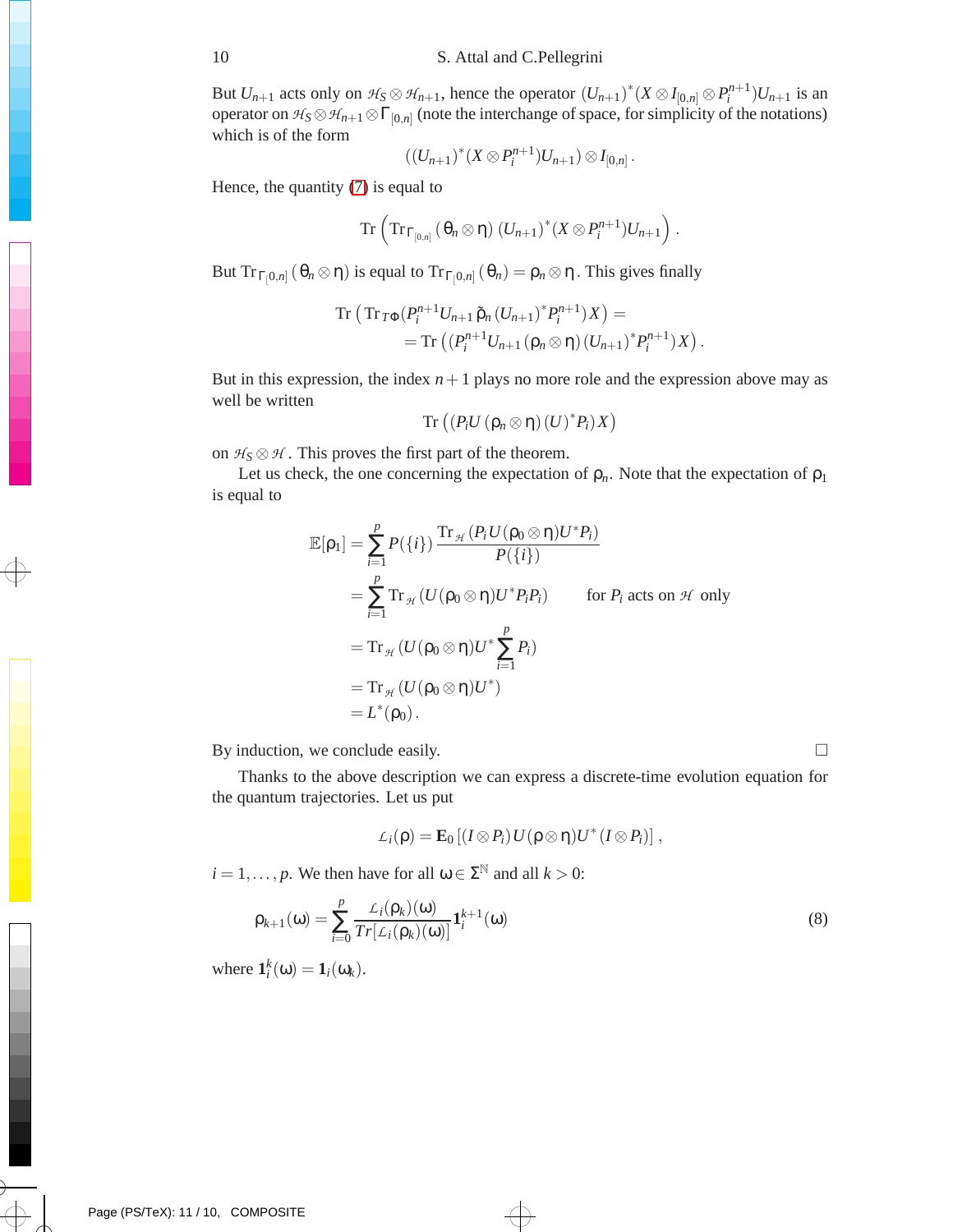But  $U_{n+1}$  acts only on  $\mathcal{H}_S \otimes \mathcal{H}_{n+1}$ , hence the operator  $(U_{n+1})^*(X \otimes I_{[0,n]} \otimes P_i^{n+1})U_{n+1}$  is an operator on *HS*⊗*H<sup>n</sup>*+1⊗Γ[0,*n*] (note the interchange of space, for simplicity of the notations) which is of the form

$$
((U_{n+1})^*(X\otimes P_i^{n+1})U_{n+1})\otimes I_{[0,n]}.
$$

Hence, the quantity [\(7\)](#page-9-1) is equal to

$$
\mathrm{Tr}\left(\mathrm{Tr}_{\Gamma_{[0,n]}}\left(\theta_n\otimes\eta\right)(U_{n+1})^*(X\otimes P_i^{n+1})U_{n+1}\right).
$$

But  $\text{Tr}_{\Gamma[0,n]}(\theta_n \otimes \eta)$  is equal to  $\text{Tr}_{\Gamma[0,n]}(\theta_n) = \rho_n \otimes \eta$  . This gives finally

Tr 
$$
(Tr_{T\Phi}(P_i^{n+1}U_{n+1}\tilde{\rho}_n(U_{n+1})^*P_i^{n+1})X)
$$
 =  
= Tr  $((P_i^{n+1}U_{n+1}(\rho_n\otimes\eta)(U_{n+1})^*P_i^{n+1})X)$ .

But in this expression, the index  $n+1$  plays no more role and the expression above may as well be written

$$
\mathrm{Tr}\left(\left(P_iU\left(\rho_n\otimes\eta\right)\left(U\right)^*P_i\right)X\right)
$$

on  $H_S \otimes H$ . This proves the first part of the theorem.

Let us check, the one concerning the expectation of  $\rho_n$ . Note that the expectation of  $\rho_1$ is equal to

$$
\mathbb{E}[\rho_1] = \sum_{i=1}^p P(\lbrace i \rbrace) \frac{\text{Tr}_{\mathcal{H}}(P_i U(\rho_0 \otimes \eta) U^* P_i)}{P(\lbrace i \rbrace)}
$$
  
\n
$$
= \sum_{i=1}^p \text{Tr}_{\mathcal{H}}(U(\rho_0 \otimes \eta) U^* P_i P_i) \qquad \text{for } P_i \text{ acts on } \mathcal{H} \text{ only}
$$
  
\n
$$
= \text{Tr}_{\mathcal{H}}(U(\rho_0 \otimes \eta) U^* \sum_{i=1}^p P_i)
$$
  
\n
$$
= \text{Tr}_{\mathcal{H}}(U(\rho_0 \otimes \eta) U^*)
$$
  
\n
$$
= L^*(\rho_0).
$$

By induction, we conclude easily.  $\Box$ 

Thanks to the above description we can express a discrete-time evolution equation for the quantum trajectories. Let us put

<span id="page-10-0"></span>
$$
\mathcal{L}_i(\rho) = \mathbf{E}_0 \left[ (I \otimes P_i) U(\rho \otimes \eta) U^* (I \otimes P_i) \right],
$$

 $i = 1, \dots, p$ . We then have for all  $\omega \in \Sigma^{\mathbb{N}}$  and all  $k > 0$ :

$$
\rho_{k+1}(\omega) = \sum_{i=0}^{p} \frac{\mathcal{L}_i(\rho_k)(\omega)}{Tr[\mathcal{L}_i(\rho_k)(\omega)]} \mathbf{1}_i^{k+1}(\omega)
$$
\n(8)

where  $\mathbf{1}_i^k(\omega) = \mathbf{1}_i(\omega_k)$ .

Page (PS/TeX): 11 / 10, COMPOSITE

 $\rightarrow$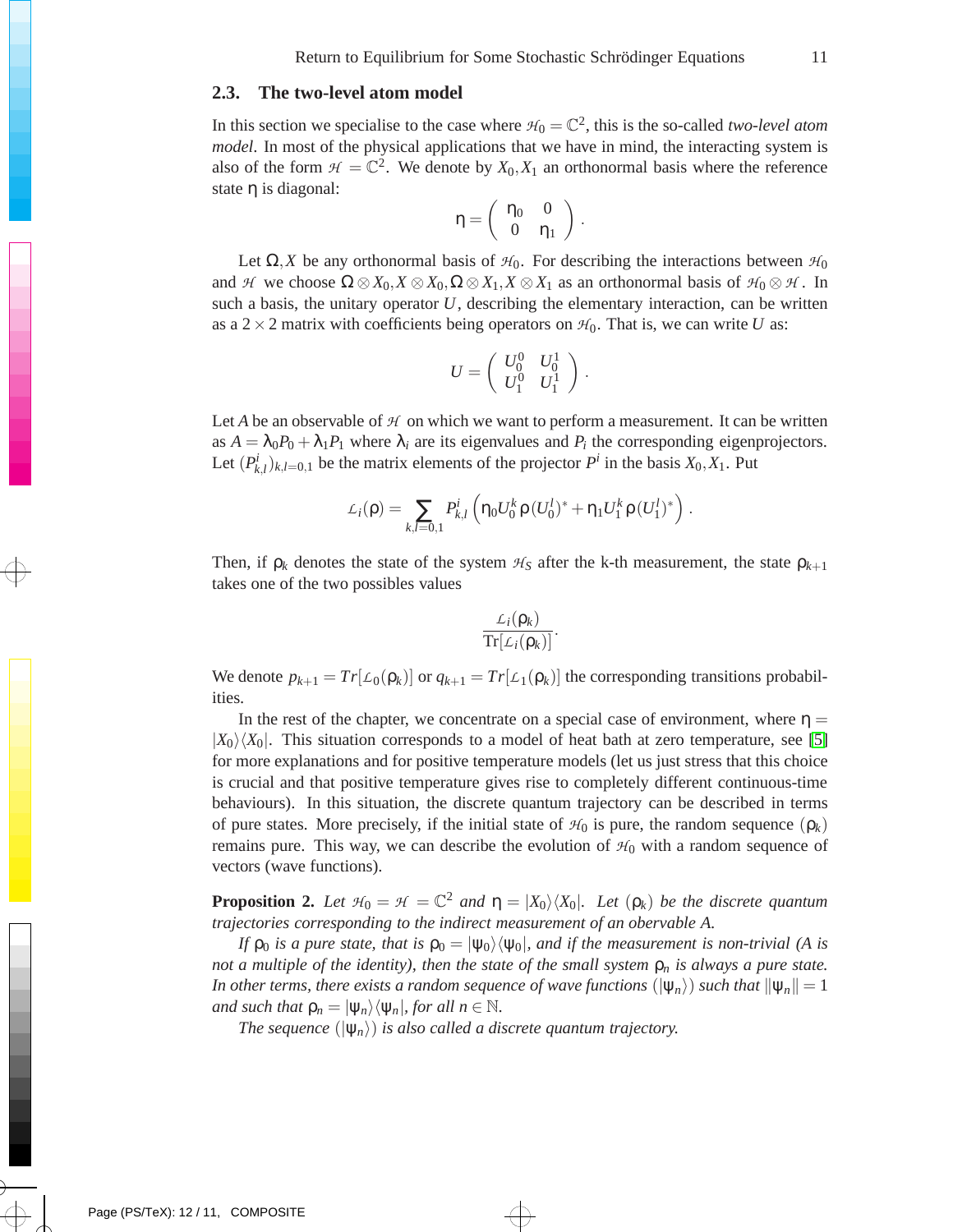#### **2.3. The two-level atom model**

In this section we specialise to the case where  $H_0 = \mathbb{C}^2$ , this is the so-called *two-level atom model*. In most of the physical applications that we have in mind, the interacting system is also of the form  $H = \mathbb{C}^2$ . We denote by  $X_0, X_1$  an orthonormal basis where the reference state η is diagonal:

$$
\eta = \left(\begin{array}{cc} \eta_0 & 0 \\ 0 & \eta_1 \end{array}\right).
$$

Let  $\Omega$ , *X* be any orthonormal basis of  $H_0$ . For describing the interactions between  $H_0$ and *H* we choose  $\Omega \otimes X_0, X \otimes X_0, \Omega \otimes X_1, X \otimes X_1$  as an orthonormal basis of  $H_0 \otimes H$ . In such a basis, the unitary operator  $U$ , describing the elementary interaction, can be written as a  $2 \times 2$  matrix with coefficients being operators on  $H_0$ . That is, we can write *U* as:

$$
U = \left( \begin{array}{cc} U_0^0 & U_0^1 \\ U_1^0 & U_1^1 \end{array} \right).
$$

Let *A* be an observable of  $H$  on which we want to perform a measurement. It can be written as  $A = \lambda_0 P_0 + \lambda_1 P_1$  where  $\lambda_i$  are its eigenvalues and  $P_i$  the corresponding eigenprojectors. Let  $(P_{k,l}^i)_{k,l=0,1}$  be the matrix elements of the projector  $P^i$  in the basis  $X_0, X_1$ . Put

$$
\mathcal{L}_i(\rho) = \sum_{k,l=0,1} P_{k,l}^i \left( \eta_0 U_0^k \rho (U_0^l)^* + \eta_1 U_1^k \rho (U_1^l)^* \right).
$$

Then, if  $\rho_k$  denotes the state of the system  $H_S$  after the k-th measurement, the state  $\rho_{k+1}$ takes one of the two possibles values

$$
\frac{\mathcal{L}_i(\rho_k)}{\mathrm{Tr}[\mathcal{L}_i(\rho_k)]}.
$$

We denote  $p_{k+1} = Tr[\mathcal{L}_0(\rho_k)]$  or  $q_{k+1} = Tr[\mathcal{L}_1(\rho_k)]$  the corresponding transitions probabilities.

In the rest of the chapter, we concentrate on a special case of environment, where  $\eta =$  $|X_0\rangle\langle X_0|$ . This situation corresponds to a model of heat bath at zero temperature, see [\[5\]](#page-25-10) for more explanations and for positive temperature models (let us just stress that this choice is crucial and that positive temperature gives rise to completely different continuous-time behaviours). In this situation, the discrete quantum trajectory can be described in terms of pure states. More precisely, if the initial state of  $H_0$  is pure, the random sequence  $(\rho_k)$ remains pure. This way, we can describe the evolution of  $H_0$  with a random sequence of vectors (wave functions).

**Proposition 2.** Let  $H_0 = H = \mathbb{C}^2$  and  $\eta = |X_0\rangle\langle X_0|$ *. Let*  $(\rho_k)$  *be the discrete quantum trajectories corresponding to the indirect measurement of an obervable A.*

*If*  $\rho_0$  *is a pure state, that is*  $\rho_0 = |\psi_0\rangle \langle \psi_0|$ *, and if the measurement is non-trivial (A is not a multiple of the identity), then the state of the small system* ρ*<sup>n</sup> is always a pure state. In other terms, there exists a random sequence of wave functions*  $(|\psi_n\rangle)$  *such that*  $||\psi_n|| = 1$ *and such that*  $\rho_n = |\psi_n\rangle \langle \psi_n|$ *, for all n*  $\in \mathbb{N}$ *.* 

*The sequence*  $(|\psi_n\rangle)$  *is also called a discrete quantum trajectory.* 

 $\rightarrow$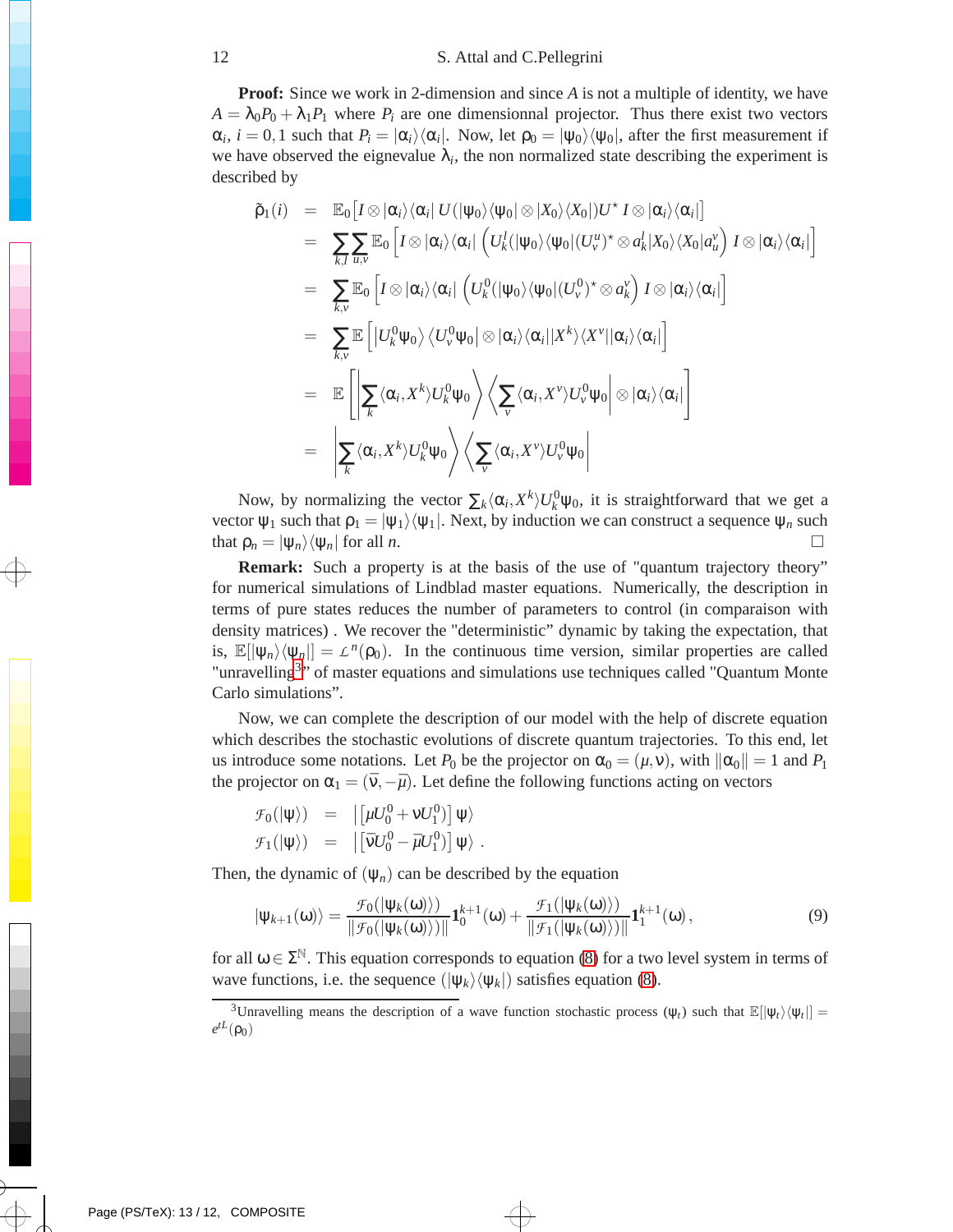#### 12 S. Attal and C.Pellegrini

**Proof:** Since we work in 2-dimension and since *A* is not a multiple of identity, we have  $A = \lambda_0 P_0 + \lambda_1 P_1$  where  $P_i$  are one dimensionnal projector. Thus there exist two vectors  $\alpha_i$ ,  $i = 0, 1$  such that  $P_i = |\alpha_i\rangle\langle\alpha_i|$ . Now, let  $\rho_0 = |\psi_0\rangle\langle\psi_0|$ , after the first measurement if we have observed the eignevalue  $\lambda_i$ , the non normalized state describing the experiment is described by

$$
\tilde{\rho}_{1}(i) = \mathbb{E}_{0}[I \otimes |\alpha_{i}\rangle\langle\alpha_{i}| U(|\psi_{0}\rangle\langle\psi_{0}| \otimes |X_{0}\rangle\langle X_{0}|)U^{\star} I \otimes |\alpha_{i}\rangle\langle\alpha_{i}|] \n= \sum_{k,l} \sum_{u,v} \mathbb{E}_{0}[I \otimes |\alpha_{i}\rangle\langle\alpha_{i}| (U_{k}^{l}(|\psi_{0}\rangle\langle\psi_{0}|(U_{v}^{u})^{\star} \otimes a_{k}^{l}|X_{0}\rangle\langle X_{0}|a_{u}^{v}) I \otimes |\alpha_{i}\rangle\langle\alpha_{i}|] \n= \sum_{k,v} \mathbb{E}_{0}[I \otimes |\alpha_{i}\rangle\langle\alpha_{i}| (U_{k}^{0}(|\psi_{0}\rangle\langle\psi_{0}|(U_{v}^{0})^{\star} \otimes a_{k}^{v}) I \otimes |\alpha_{i}\rangle\langle\alpha_{i}|] \n= \sum_{k,v} \mathbb{E}[U_{k}^{0}\psi_{0}\rangle\langle U_{v}^{0}\psi_{0}| \otimes |\alpha_{i}\rangle\langle\alpha_{i}| |X^{k}\rangle\langle X^{v}||\alpha_{i}\rangle\langle\alpha_{i}|] \n= \mathbb{E}\left[\left|\sum_{k} \langle\alpha_{i}, X^{k}\rangle U_{k}^{0}\psi_{0}\right\rangle\left\langle\sum_{v} \langle\alpha_{i}, X^{v}\rangle U_{v}^{0}\psi_{0}\right| \otimes |\alpha_{i}\rangle\langle\alpha_{i}| \right] \n= \left|\sum_{k} \langle\alpha_{i}, X^{k}\rangle U_{k}^{0}\psi_{0}\right\rangle\left\langle\sum_{v} \langle\alpha_{i}, X^{v}\rangle U_{v}^{0}\psi_{0}\right|
$$

Now, by normalizing the vector  $\sum_k \langle \alpha_i, X^k \rangle U_k^0 \psi_0$ , it is straightforward that we get a vector  $\psi_1$  such that  $\rho_1 = |\psi_1\rangle\langle\psi_1|$ . Next, by induction we can construct a sequence  $\psi_n$  such that  $\rho_n = |\psi_n\rangle \langle \psi_n|$  for all *n*.

**Remark:** Such a property is at the basis of the use of "quantum trajectory theory" for numerical simulations of Lindblad master equations. Numerically, the description in terms of pure states reduces the number of parameters to control (in comparaison with density matrices) . We recover the "deterministic" dynamic by taking the expectation, that is,  $\mathbb{E}[|\psi_n\rangle\langle\psi_n|] = \mathcal{L}^n(\rho_0)$ . In the continuous time version, similar properties are called "unravelling<sup>[3](#page-12-0)</sup>" of master equations and simulations use techniques called "Quantum Monte Carlo simulations".

Now, we can complete the description of our model with the help of discrete equation which describes the stochastic evolutions of discrete quantum trajectories. To this end, let us introduce some notations. Let  $P_0$  be the projector on  $\alpha_0 = (\mu, v)$ , with  $\|\alpha_0\| = 1$  and  $P_1$ the projector on  $\alpha_1 = (\bar{v}, -\bar{\mu})$ . Let define the following functions acting on vectors

$$
\mathcal{F}_0(|\psi\rangle) = |[\mu U_0^0 + v U_1^0]| \psi\rangle \n\mathcal{F}_1(|\psi\rangle) = |[\bar{v}U_0^0 - \bar{\mu}U_1^0]| \psi\rangle.
$$

Then, the dynamic of  $(\psi_n)$  can be described by the equation

$$
|\psi_{k+1}(\omega)\rangle = \frac{\mathcal{F}_0(|\psi_k(\omega)\rangle)}{\|\mathcal{F}_0(|\psi_k(\omega)\rangle)\|} \mathbf{1}_0^{k+1}(\omega) + \frac{\mathcal{F}_1(|\psi_k(\omega)\rangle)}{\|\mathcal{F}_1(|\psi_k(\omega)\rangle)\|} \mathbf{1}_1^{k+1}(\omega),
$$
\n(9)

for all  $\omega \in \Sigma^{\mathbb{N}}$ . This equation corresponds to equation [\(8\)](#page-10-0) for a two level system in terms of wave functions, i.e. the sequence  $(|\psi_k\rangle\langle\psi_k|)$  satisfies equation [\(8\)](#page-10-0).

 $\rightarrow$ 

<span id="page-12-0"></span><sup>&</sup>lt;sup>3</sup>Unravelling means the description of a wave function stochastic process  $(\psi_t)$  such that  $\mathbb{E}[\psi_t/\langle \psi_t|] =$  $e^{tL}(\rho_0)$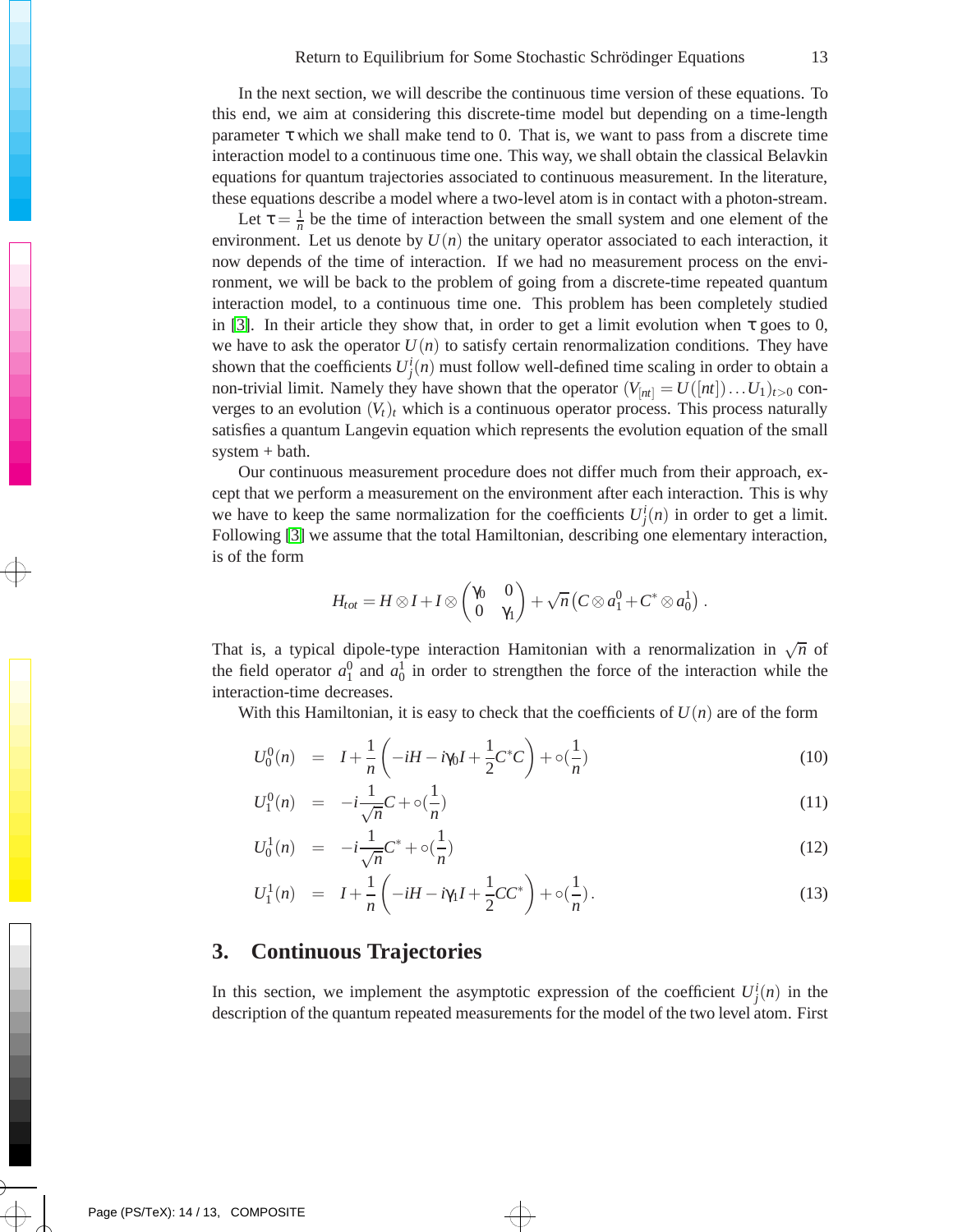In the next section, we will describe the continuous time version of these equations. To this end, we aim at considering this discrete-time model but depending on a time-length parameter τ which we shall make tend to 0. That is, we want to pass from a discrete time interaction model to a continuous time one. This way, we shall obtain the classical Belavkin equations for quantum trajectories associated to continuous measurement. In the literature, these equations describe a model where a two-level atom is in contact with a photon-stream.

Let  $\tau = \frac{1}{n}$  $\frac{1}{n}$  be the time of interaction between the small system and one element of the environment. Let us denote by  $U(n)$  the unitary operator associated to each interaction, it now depends of the time of interaction. If we had no measurement process on the environment, we will be back to the problem of going from a discrete-time repeated quantum interaction model, to a continuous time one. This problem has been completely studied in [\[3\]](#page-25-9). In their article they show that, in order to get a limit evolution when  $\tau$  goes to 0, we have to ask the operator  $U(n)$  to satisfy certain renormalization conditions. They have shown that the coefficients  $U_j^i(n)$  must follow well-defined time scaling in order to obtain a non-trivial limit. Namely they have shown that the operator  $(V_{[nt]} = U([nt])...U_1)_{t>0}$  converges to an evolution  $(V_t)_t$  which is a continuous operator process. This process naturally satisfies a quantum Langevin equation which represents the evolution equation of the small  $system + bath.$ 

Our continuous measurement procedure does not differ much from their approach, except that we perform a measurement on the environment after each interaction. This is why we have to keep the same normalization for the coefficients  $U_j^i(n)$  in order to get a limit. Following [\[3\]](#page-25-9) we assume that the total Hamiltonian, describing one elementary interaction, is of the form

$$
H_{tot}=H\otimes I+I\otimes\begin{pmatrix} \gamma_0 & 0\\ 0 & \gamma_1\end{pmatrix}+\sqrt{n}\left(C\otimes a_1^0+C^*\otimes a_0^1\right).
$$

That is, a typical dipole-type interaction Hamitonian with a renormalization in  $\sqrt{n}$  of the field operator  $a_1^0$  and  $a_0^1$  in order to strengthen the force of the interaction while the interaction-time decreases.

With this Hamiltonian, it is easy to check that the coefficients of  $U(n)$  are of the form

$$
U_0^0(n) = I + \frac{1}{n} \left( -iH - i\gamma_0 I + \frac{1}{2} C^* C \right) + o(\frac{1}{n})
$$
\n(10)

<span id="page-13-0"></span>
$$
U_1^0(n) = -i\frac{1}{\sqrt{n}}C + o(\frac{1}{n})
$$
\n(11)

$$
U_0^1(n) = -i\frac{1}{\sqrt{n}}C^* + o(\frac{1}{n})
$$
\n(12)

$$
U_1^1(n) = I + \frac{1}{n} \left( -iH - i\gamma_1 I + \frac{1}{2} CC^* \right) + o(\frac{1}{n}).
$$
\n(13)

## **3. Continuous Trajectories**

In this section, we implement the asymptotic expression of the coefficient  $U^i_j(n)$  in the description of the quantum repeated measurements for the model of the two level atom. First

 $\rightarrow$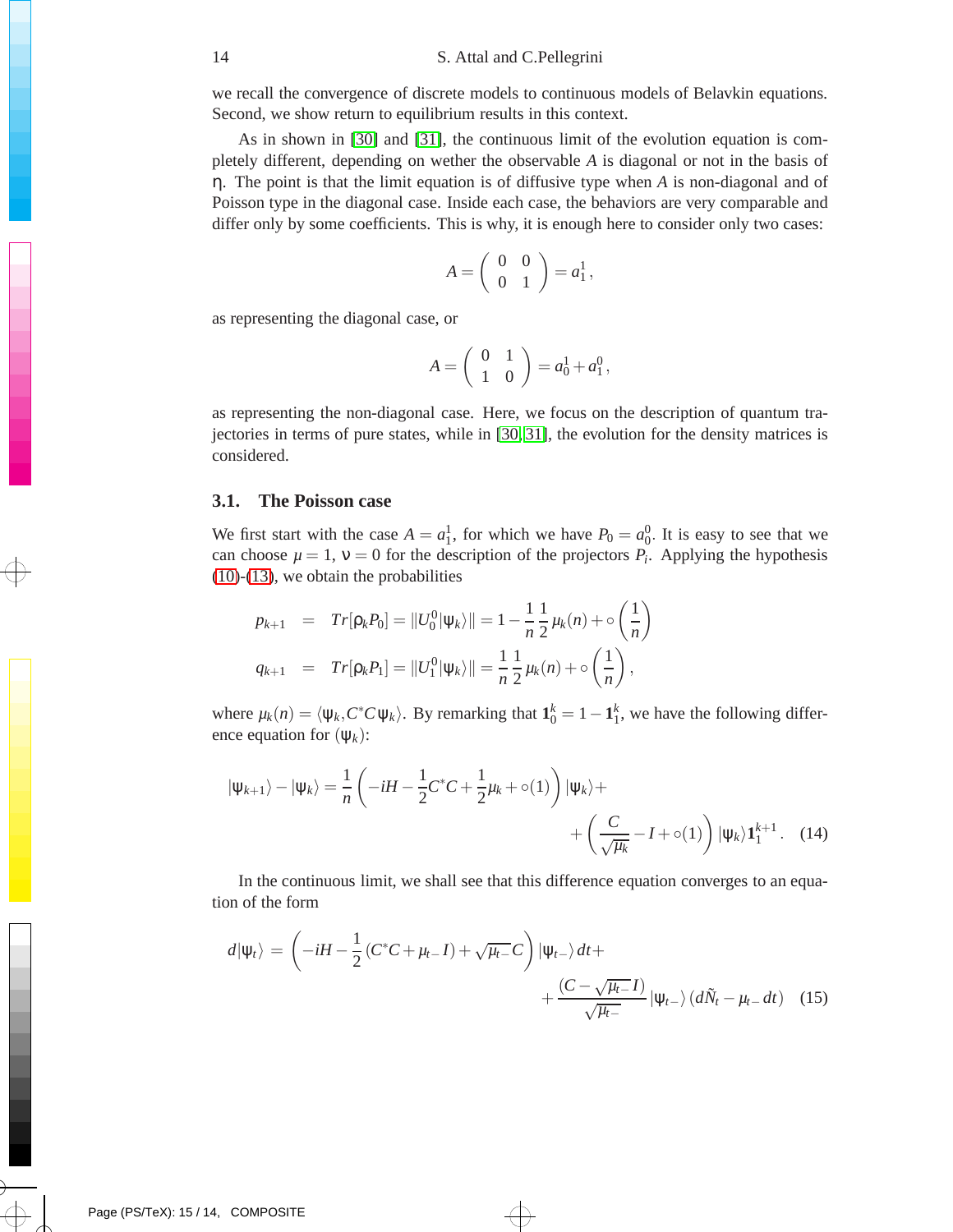we recall the convergence of discrete models to continuous models of Belavkin equations. Second, we show return to equilibrium results in this context.

As in shown in [\[30\]](#page-27-5) and [\[31\]](#page-27-6), the continuous limit of the evolution equation is completely different, depending on wether the observable *A* is diagonal or not in the basis of η. The point is that the limit equation is of diffusive type when *A* is non-diagonal and of Poisson type in the diagonal case. Inside each case, the behaviors are very comparable and differ only by some coefficients. This is why, it is enough here to consider only two cases:

$$
A = \left(\begin{array}{cc} 0 & 0 \\ 0 & 1 \end{array}\right) = a_1^1,
$$

as representing the diagonal case, or

$$
A = \left(\begin{array}{cc} 0 & 1 \\ 1 & 0 \end{array}\right) = a_0^1 + a_1^0,
$$

as representing the non-diagonal case. Here, we focus on the description of quantum trajectories in terms of pure states, while in [\[30,](#page-27-5) [31\]](#page-27-6), the evolution for the density matrices is considered.

#### **3.1. The Poisson case**

We first start with the case  $A = a_1^1$ , for which we have  $P_0 = a_0^0$ . It is easy to see that we can choose  $\mu = 1$ ,  $v = 0$  for the description of the projectors  $P_i$ . Applying the hypothesis  $(10)-(13)$  $(10)-(13)$  $(10)-(13)$ , we obtain the probabilities

$$
p_{k+1} = Tr[\rho_k P_0] = ||U_0^0|\psi_k\rangle|| = 1 - \frac{1}{n} \frac{1}{2} \mu_k(n) + \circ \left(\frac{1}{n}\right)
$$
  

$$
q_{k+1} = Tr[\rho_k P_1] = ||U_1^0|\psi_k\rangle|| = \frac{1}{n} \frac{1}{2} \mu_k(n) + \circ \left(\frac{1}{n}\right),
$$

where  $\mu_k(n) = \langle \psi_k, C^* C \psi_k \rangle$ . By remarking that  $\mathbf{1}_0^k = 1 - \mathbf{1}_1^k$ , we have the following difference equation for  $(\psi_k)$ :

$$
|\psi_{k+1}\rangle - |\psi_k\rangle = \frac{1}{n} \left( -iH - \frac{1}{2}C^*C + \frac{1}{2}\mu_k + o(1) \right) |\psi_k\rangle + \left( \frac{C}{\sqrt{\mu_k}} - I + o(1) \right) |\psi_k\rangle \mathbf{1}_1^{k+1}.
$$
 (14)

In the continuous limit, we shall see that this difference equation converges to an equation of the form

$$
d|\psi_t\rangle = \left(-iH - \frac{1}{2}(C^*C + \mu_{t-}I) + \sqrt{\mu_{t-}}C\right)|\psi_{t-}\rangle dt + \frac{(C - \sqrt{\mu_{t-}}I)}{\sqrt{\mu_{t-}}}|\psi_{t-}\rangle(d\tilde{N}_t - \mu_{t-}dt) \quad (15)
$$

<span id="page-14-1"></span><span id="page-14-0"></span> $\bigoplus$ 

 $\rightarrow$ 

✐

Page (PS/TeX): 15 / 14, COMPOSITE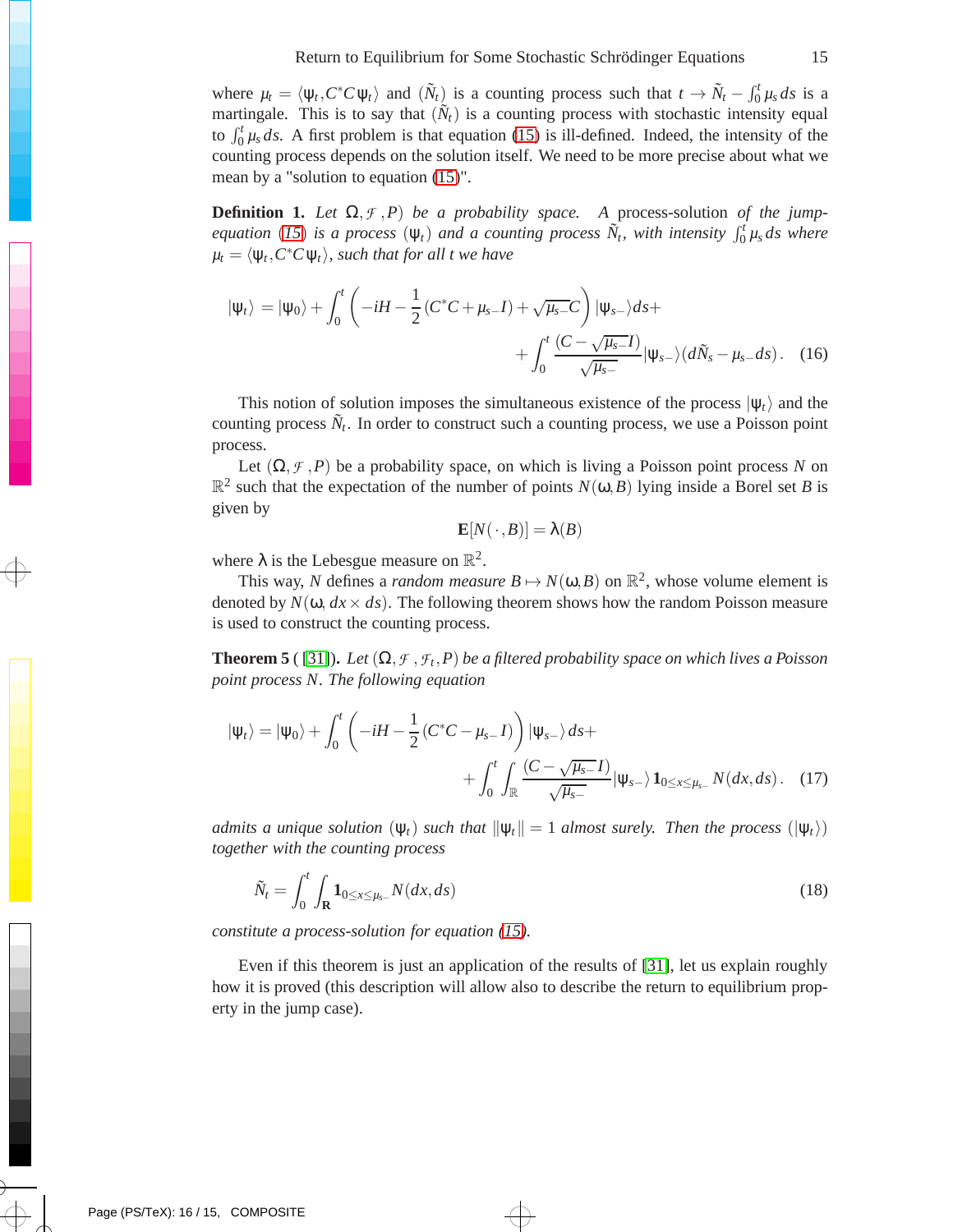where  $\mu_t = \langle \psi_t, C^* C \psi_t \rangle$  and  $(\tilde{N}_t)$  is a counting process such that  $t \to \tilde{N}_t - \int_0^t \mu_s ds$  is a martingale. This is to say that  $(\tilde{N}_t)$  is a counting process with stochastic intensity equal to  $\int_0^t \mu_s ds$ . A first problem is that equation [\(15\)](#page-14-0) is ill-defined. Indeed, the intensity of the counting process depends on the solution itself. We need to be more precise about what we mean by a "solution to equation [\(15\)](#page-14-0)".

**Definition 1.** Let  $\Omega, \mathcal{F}, P$ ) be a probability space. A process-solution of the jump*equation* ([15](#page-14-0)) *is a process*  $(\psi_t)$  *and a counting process*  $\tilde{N}_t$ , *with intensity*  $\int_0^t \mu_s ds$  *where*  $\mu_t = \langle \psi_t, C^*C \psi_t \rangle$ , such that for all t we have

$$
|\psi_t\rangle = |\psi_0\rangle + \int_0^t \left( -iH - \frac{1}{2} \left( C^* C + \mu_{s-} I \right) + \sqrt{\mu_{s-}} C \right) |\psi_{s-} \rangle ds +
$$
  
+ 
$$
\int_0^t \frac{(C - \sqrt{\mu_{s-}} I)}{\sqrt{\mu_{s-}}} |\psi_{s-} \rangle (d\tilde{N}_s - \mu_{s-} ds). \quad (16)
$$

This notion of solution imposes the simultaneous existence of the process  $|\psi_t\rangle$  and the counting process  $N_t$ . In order to construct such a counting process, we use a Poisson point process.

Let  $(\Omega, \mathcal{F}, P)$  be a probability space, on which is living a Poisson point process *N* on  $\mathbb{R}^2$  such that the expectation of the number of points *N*(ω,*B*) lying inside a Borel set *B* is given by

<span id="page-15-0"></span>
$$
\mathbf{E}[N(\cdot,B)] = \lambda(B)
$$

where  $\lambda$  is the Lebesgue measure on  $\mathbb{R}^2$ .

This way, N defines a *random measure*  $B \mapsto N(\omega, B)$  on  $\mathbb{R}^2$ , whose volume element is denoted by  $N(\omega, dx \times ds)$ . The following theorem shows how the random Poisson measure is used to construct the counting process.

**Theorem 5** ( [\[31\]](#page-27-6)). Let  $(\Omega, \mathcal{F}, \mathcal{F}_t, P)$  be a filtered probability space on which lives a Poisson *point process N. The following equation*

$$
|\psi_t\rangle = |\psi_0\rangle + \int_0^t \left( -iH - \frac{1}{2} \left( C^*C - \mu_{s-}I \right) \right) |\psi_{s-}\rangle ds +
$$
  
+ 
$$
\int_0^t \int_{\mathbb{R}} \frac{\left( C - \sqrt{\mu_{s-}I} \right)}{\sqrt{\mu_{s-}}} |\psi_{s-}\rangle \mathbf{1}_{0 \le x \le \mu_{s-}} N(dx, ds).
$$
 (17)

*admits a unique solution*  $(\psi_t)$  *such that*  $\|\psi_t\| = 1$  *almost surely. Then the process*  $(|\psi_t\rangle)$ *together with the counting process*

$$
\tilde{N}_t = \int_0^t \int_{\mathbf{R}} \mathbf{1}_{0 \le x \le \mu_s} N(dx, ds) \tag{18}
$$

*constitute a process-solution for equation [\(15\)](#page-14-0).*

Even if this theorem is just an application of the results of [\[31\]](#page-27-6), let us explain roughly how it is proved (this description will allow also to describe the return to equilibrium property in the jump case).

 $\rightarrow$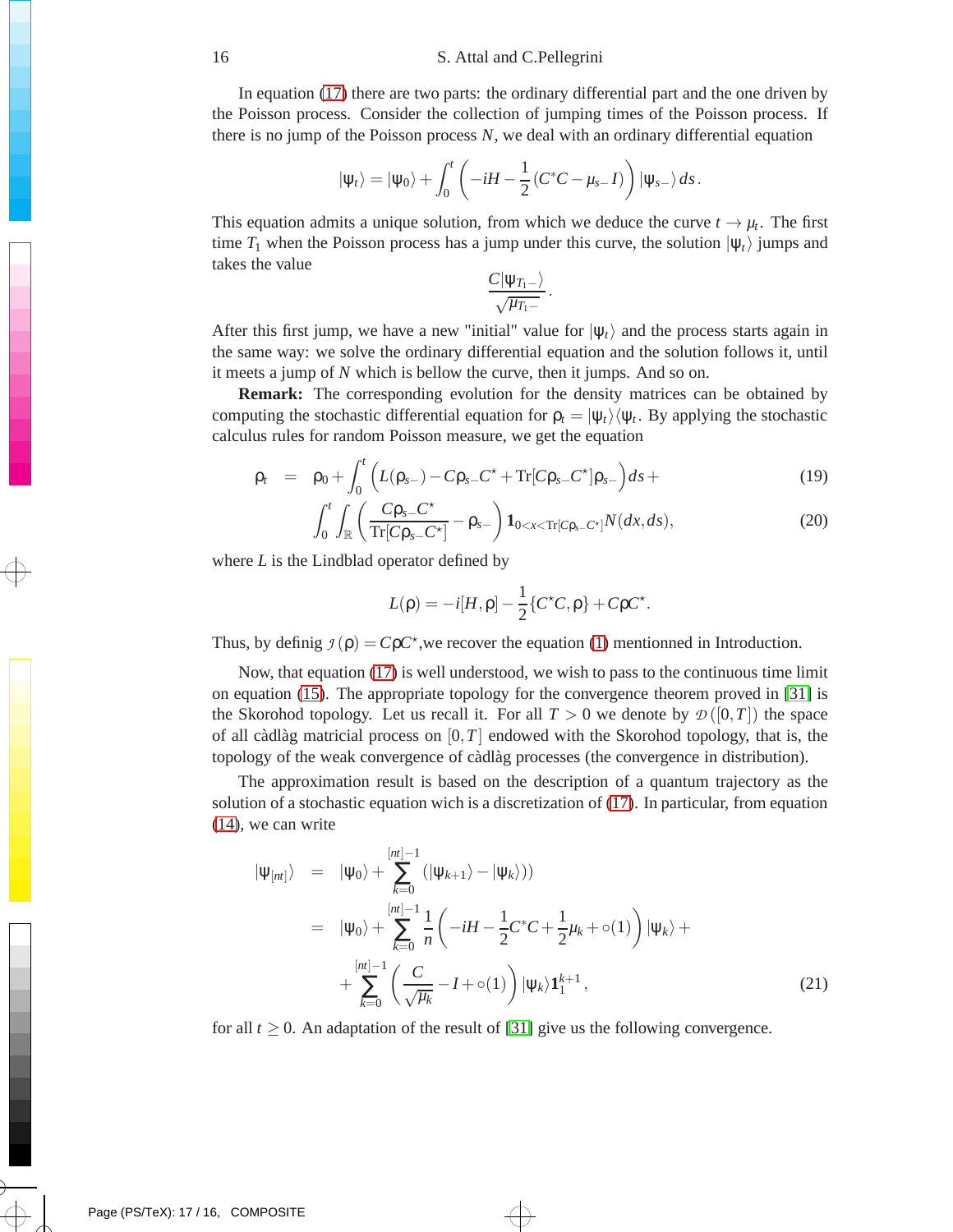In equation [\(17\)](#page-15-0) there are two parts: the ordinary differential part and the one driven by the Poisson process. Consider the collection of jumping times of the Poisson process. If there is no jump of the Poisson process *N*, we deal with an ordinary differential equation

$$
|\psi_t\rangle = |\psi_0\rangle + \int_0^t \left(-iH - \frac{1}{2}(C^*C - \mu_{s-}I)\right)|\psi_{s-}\rangle ds.
$$

This equation admits a unique solution, from which we deduce the curve  $t \rightarrow \mu_t$ . The first time  $T_1$  when the Poisson process has a jump under this curve, the solution  $|\psi_t\rangle$  jumps and takes the value

$$
\frac{C|\psi_{T_1-}\rangle}{\sqrt{\mu_{T_1-}}}
$$

.

After this first jump, we have a new "initial" value for  $|\psi_t\rangle$  and the process starts again in the same way: we solve the ordinary differential equation and the solution follows it, until it meets a jump of *N* which is bellow the curve, then it jumps. And so on.

**Remark:** The corresponding evolution for the density matrices can be obtained by computing the stochastic differential equation for  $\rho_t = |\psi_t\rangle \langle \psi_t$ . By applying the stochastic calculus rules for random Poisson measure, we get the equation

$$
\rho_t = \rho_0 + \int_0^t \left( L(\rho_{s-}) - C\rho_{s-}C^* + \text{Tr}[C\rho_{s-}C^*]\rho_{s-} \right) ds + \tag{19}
$$

$$
\int_0^t \int_{\mathbb{R}} \left( \frac{C \rho_{s-} C^{\star}}{\mathrm{Tr}[C \rho_{s-} C^{\star}]} - \rho_{s-} \right) \mathbf{1}_{0 < x < \mathrm{Tr}[C \rho_{s-} C^{\star}]} N(dx, ds), \tag{20}
$$

where *L* is the Lindblad operator defined by

$$
L(\rho) = -i[H, \rho] - \frac{1}{2} \{C^{\star}C, \rho\} + C\rho C^{\star}.
$$

Thus, by definig  $\mathcal{I}(\rho) = C\rho C^*$ , we recover the equation [\(1\)](#page-2-0) mentionned in Introduction.

Now, that equation [\(17\)](#page-15-0) is well understood, we wish to pass to the continuous time limit on equation [\(15\)](#page-14-0). The appropriate topology for the convergence theorem proved in [\[31\]](#page-27-6) is the Skorohod topology. Let us recall it. For all  $T > 0$  we denote by  $\mathcal{D}([0,T])$  the space of all càdlàg matricial process on [0,*T*] endowed with the Skorohod topology, that is, the topology of the weak convergence of càdlàg processes (the convergence in distribution).

The approximation result is based on the description of a quantum trajectory as the solution of a stochastic equation wich is a discretization of [\(17\)](#page-15-0). In particular, from equation [\(14\)](#page-14-1), we can write

<span id="page-16-0"></span>
$$
\begin{array}{rcl}\n|\Psi_{[nt]}\rangle & = & |\psi_0\rangle + \sum_{k=0}^{[nt]-1} \left( |\psi_{k+1}\rangle - |\psi_k\rangle \right) \\
& = & |\psi_0\rangle + \sum_{k=0}^{[nt]-1} \frac{1}{n} \left( -iH - \frac{1}{2}C^*C + \frac{1}{2}\mu_k + \circ(1) \right) |\psi_k\rangle + \\
& & + \sum_{k=0}^{[nt]-1} \left( \frac{C}{\sqrt{\mu_k}} - I + \circ(1) \right) |\psi_k\rangle \mathbf{1}_1^{k+1},\n\end{array} \tag{21}
$$

for all  $t \geq 0$ . An adaptation of the result of [\[31\]](#page-27-6) give us the following convergence.

 $\rightarrow$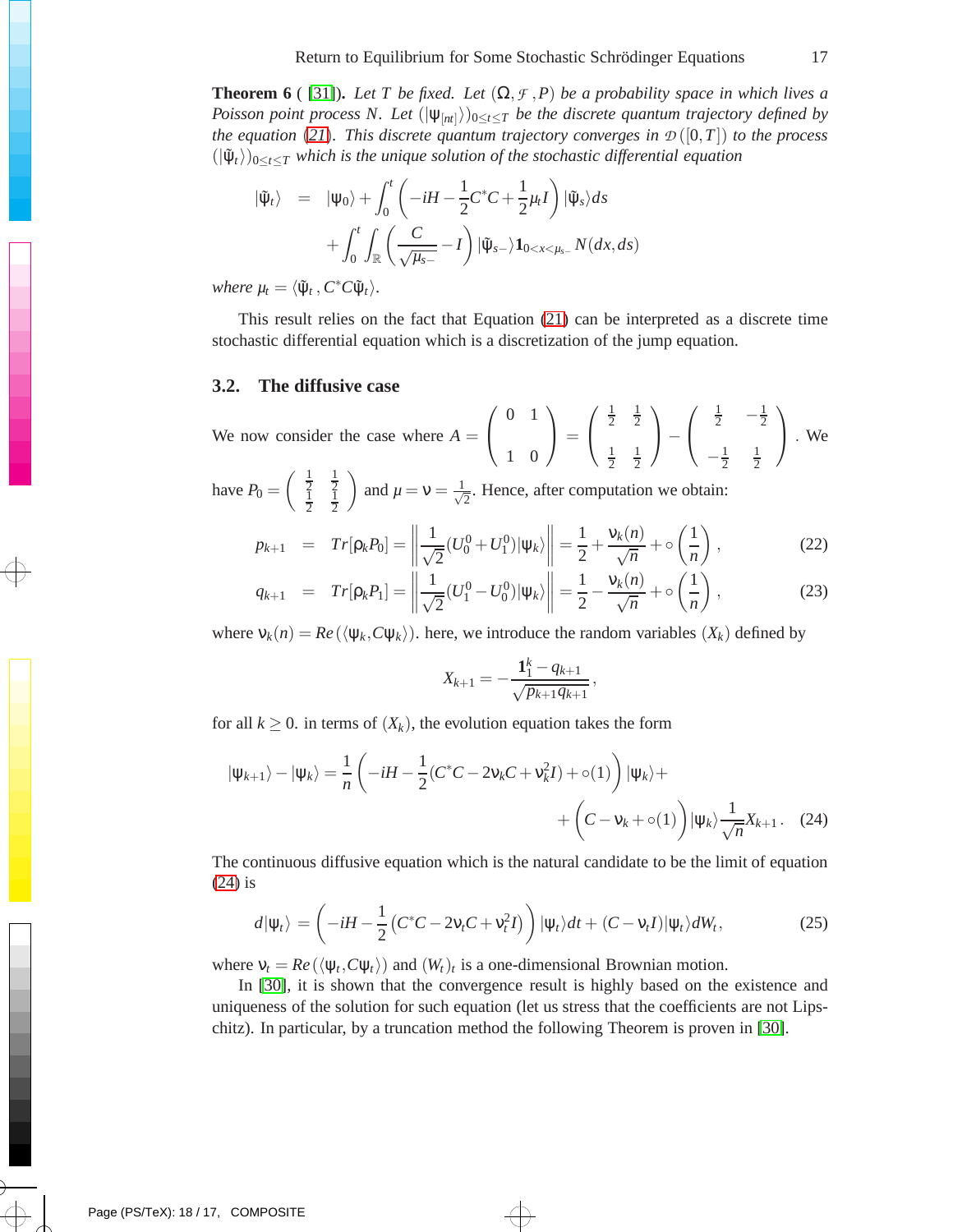**Theorem 6** ( [\[31\]](#page-27-6)). Let T be fixed. Let  $(\Omega, \mathcal{F}, P)$  be a probability space in which lives a *Poisson point process N. Let*  $(|\psi_{[nt]}\rangle)_{0 \le t \le T}$  *be the discrete quantum trajectory defined by the equation* ([21](#page-16-0)). This discrete quantum trajectory converges in  $\mathcal{D}([0,T])$  to the process  $(|\tilde{\psi}_t\rangle)_{0\leq t\leq T}$  *which is the unique solution of the stochastic differential equation* 

$$
\begin{array}{rcl}\n|\tilde{\psi}_t\rangle &=& |\psi_0\rangle + \int_0^t \left( -iH - \frac{1}{2}C^*C + \frac{1}{2}\mu_t I \right) |\tilde{\psi}_s\rangle ds \\
&+ \int_0^t \int_{\mathbb{R}} \left( \frac{C}{\sqrt{\mu_{s-}}} - I \right) |\tilde{\psi}_{s-}\rangle \mathbf{1}_{0 < x < \mu_{s-}} N(dx, ds)\n\end{array}
$$

*where*  $\mu_t = \langle \tilde{\psi}_t, C^*C\tilde{\psi}_t \rangle$ .

This result relies on the fact that Equation [\(21\)](#page-16-0) can be interpreted as a discrete time stochastic differential equation which is a discretization of the jump equation.

#### **3.2. The diffusive case**

We now consider the case where  $A =$  $\sqrt{ }$  $\overline{1}$ 0 1 1 0  $\setminus$  $\Big\} =$  $\sqrt{ }$  $\mathcal{L}$ 1 2 1 2 1 2 1 2  $\setminus$ −∣  $\sqrt{ }$  $\overline{1}$  $\frac{1}{2} - \frac{1}{2}$ 2  $-\frac{1}{2}$ 2 1 2  $\setminus$  $\vert$  . We 1

have  $P_0 =$  $\left(\begin{array}{c}1\\2\end{array}\right)$  $\frac{2}{1}$   $\frac{2}{1}$ 2  $\overline{1}$ 2 ) and  $\mu = v = \frac{1}{\sqrt{2}}$  $\frac{1}{2}$ . Hence, after computation we obtain:

$$
p_{k+1} = Tr[\rho_k P_0] = \left\| \frac{1}{\sqrt{2}} (U_0^0 + U_1^0) |\Psi_k\rangle \right\| = \frac{1}{2} + \frac{v_k(n)}{\sqrt{n}} + \circ \left(\frac{1}{n}\right),
$$
 (22)

$$
q_{k+1} = Tr[\rho_k P_1] = \left\| \frac{1}{\sqrt{2}} (U_1^0 - U_0^0) |\Psi_k\rangle \right\| = \frac{1}{2} - \frac{v_k(n)}{\sqrt{n}} + \circ \left(\frac{1}{n}\right),
$$
 (23)

where  $v_k(n) = Re(\langle \psi_k, C\psi_k \rangle)$ . here, we introduce the random variables  $(X_k)$  defined by

<span id="page-17-0"></span>
$$
X_{k+1}=-\frac{\mathbf{1}_1^k-q_{k+1}}{\sqrt{p_{k+1}q_{k+1}}},
$$

for all  $k \geq 0$ . in terms of  $(X_k)$ , the evolution equation takes the form

$$
|\psi_{k+1}\rangle - |\psi_k\rangle = \frac{1}{n} \left( -iH - \frac{1}{2} (C^*C - 2\nu_k C + \nu_k^2 I) + o(1) \right) |\psi_k\rangle + \left( C - \nu_k + o(1) \right) |\psi_k\rangle \frac{1}{\sqrt{n}} X_{k+1}.
$$
 (24)

The continuous diffusive equation which is the natural candidate to be the limit of equation [\(24\)](#page-17-0) is

$$
d|\psi_t\rangle = \left(-iH - \frac{1}{2}\left(C^*C - 2\nu_t C + \nu_t^2 I\right)\right)|\psi_t\rangle dt + (C - \nu_t I)|\psi_t\rangle dW_t, \tag{25}
$$

where  $v_t = Re(\langle \psi_t, C\psi_t \rangle)$  and  $(W_t)_t$  is a one-dimensional Brownian motion.

In [\[30\]](#page-27-5), it is shown that the convergence result is highly based on the existence and uniqueness of the solution for such equation (let us stress that the coefficients are not Lipschitz). In particular, by a truncation method the following Theorem is proven in [\[30\]](#page-27-5).

€

Page (PS/TeX): 18 / 17, COMPOSITE

 $\rightarrow$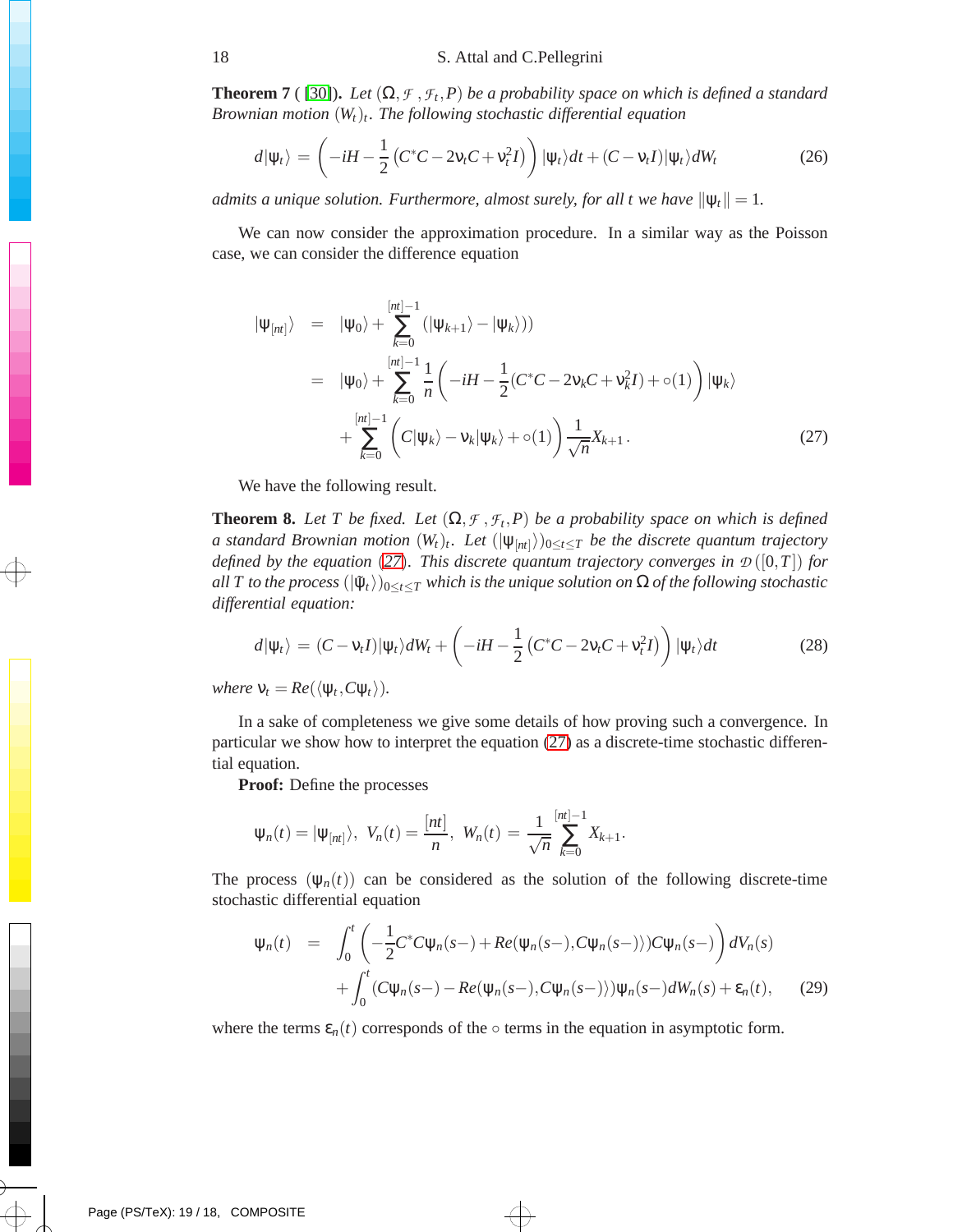**Theorem 7** ( [\[30\]](#page-27-5)). Let  $(\Omega, \mathcal{F}, \mathcal{F}_t, P)$  be a probability space on which is defined a standard *Brownian motion* (*Wt*)*<sup>t</sup> . The following stochastic differential equation*

$$
d|\psi_t\rangle = \left(-iH - \frac{1}{2}\left(C^*C - 2\nu_t C + \nu_t^2 I\right)\right)|\psi_t\rangle dt + \left(C - \nu_t I\right)|\psi_t\rangle dW_t \tag{26}
$$

*admits a unique solution. Furthermore, almost surely, for all t we have*  $\|\psi_t\| = 1$ .

We can now consider the approximation procedure. In a similar way as the Poisson case, we can consider the difference equation

<span id="page-18-0"></span>
$$
\begin{array}{rcl}\n|\psi_{[nt]}\rangle & = & |\psi_0\rangle + \sum_{k=0}^{[nt]-1} \left( |\psi_{k+1}\rangle - |\psi_k\rangle \right) \\
& = & |\psi_0\rangle + \sum_{k=0}^{[nt]-1} \frac{1}{n} \left( -iH - \frac{1}{2} (C^*C - 2\nu_k C + \nu_k^2 I) + \circ(1) \right) |\psi_k\rangle \\
& + \sum_{k=0}^{[nt]-1} \left( C|\psi_k\rangle - \nu_k |\psi_k\rangle + \circ(1) \right) \frac{1}{\sqrt{n}} X_{k+1}.\n\end{array} \tag{27}
$$

We have the following result.

**Theorem 8.** Let T be fixed. Let  $(\Omega, \mathcal{F}, \mathcal{F}_t, P)$  be a probability space on which is defined *a standard Brownian motion* (*Wt*)*<sup>t</sup> . Let* (|ψ[*nt*] i)0≤*t*≤*<sup>T</sup> be the discrete quantum trajectory defined by the equation* ([27](#page-18-0)). This discrete quantum trajectory converges in  $\mathcal{D}([0,T])$  for *all T to the process*  $(\vert \tilde{\psi}_t \rangle)_{0 \le t \le T}$  *which is the unique solution on*  $\Omega$  *of the following stochastic differential equation:*

$$
d|\psi_t\rangle = (C - \nu_t I)|\psi_t\rangle dW_t + \left(-iH - \frac{1}{2}\left(C^*C - 2\nu_t C + \nu_t^2 I\right)\right)|\psi_t\rangle dt \qquad (28)
$$

*where*  $v_t = Re(\langle \psi_t, C\psi_t \rangle).$ 

In a sake of completeness we give some details of how proving such a convergence. In particular we show how to interpret the equation [\(27\)](#page-18-0) as a discrete-time stochastic differential equation.

**Proof:** Define the processes

$$
\Psi_n(t) = |\Psi_{[nt]}\rangle, \ \ V_n(t) = \frac{[nt]}{n}, \ \ W_n(t) = \frac{1}{\sqrt{n}} \sum_{k=0}^{[nt]-1} X_{k+1}.
$$

The process  $(\psi_n(t))$  can be considered as the solution of the following discrete-time stochastic differential equation

$$
\Psi_n(t) = \int_0^t \left( -\frac{1}{2} C^* C \Psi_n(s-) + Re(\Psi_n(s-), C \Psi_n(s-)) C \Psi_n(s-) \right) dV_n(s)
$$

$$
+ \int_0^t (C \Psi_n(s-) - Re(\Psi_n(s-), C \Psi_n(s-)) ) \Psi_n(s-) dW_n(s) + \varepsilon_n(t), \qquad (29)
$$

where the terms  $\varepsilon_n(t)$  corresponds of the  $\circ$  terms in the equation in asymptotic form.

 $\rightarrow$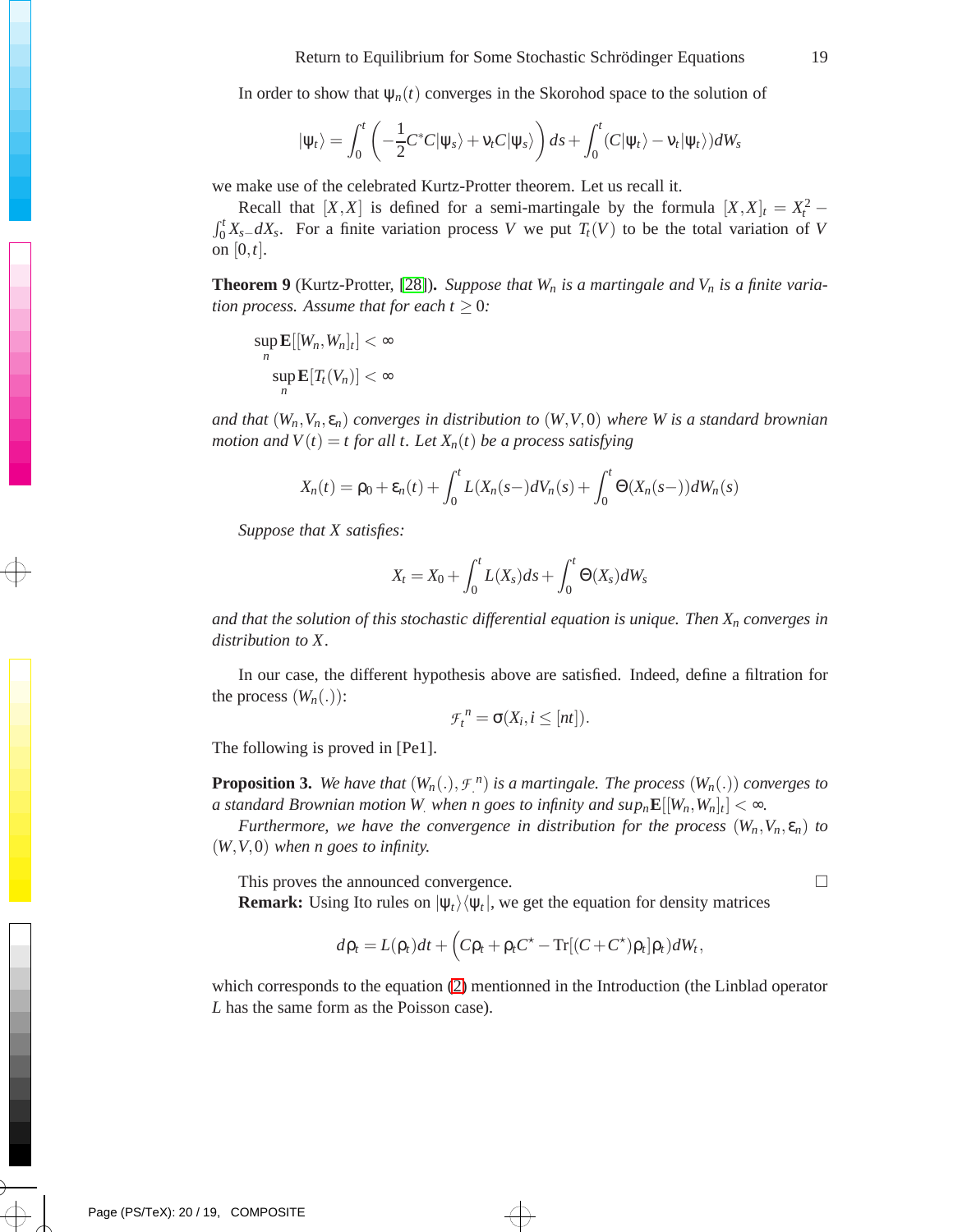In order to show that  $\psi_n(t)$  converges in the Skorohod space to the solution of

$$
|\psi_t\rangle = \int_0^t \left( -\frac{1}{2} C^* C |\psi_s\rangle + v_t C |\psi_s\rangle \right) ds + \int_0^t (C |\psi_t\rangle - v_t |\psi_t\rangle) dW_s
$$

we make use of the celebrated Kurtz-Protter theorem. Let us recall it.

Recall that  $[X,X]$  is defined for a semi-martingale by the formula  $[X,X]_t = X_t^2$ *t t x*<sub>*s*</sub> *t t x*<sub>*s*</sub> *t t x*<sub>*s*</sub> *t x*<sub>*s*</sub> *t x*<sub>*s*</sub> *c t f*<sub>0</sub>*x*<sub>*s*</sub> *dX<sub><i>s*</sub>. For a finite variation process *V* we put *T<sub>t</sub>*(*V*) to be the total variation of *V* on [0,*t*].

**Theorem 9** (Kurtz-Protter, [\[28\]](#page-27-7))**.** *Suppose that W<sup>n</sup> is a martingale and V<sup>n</sup> is a finite variation process. Assume that for each*  $t \geq 0$ *:* 

sup  $\sup_n$ **E**[[*W<sub>n</sub>*, *W<sub>n</sub>*]<sub>t</sub>] < ∞ sup  $\sum_{n}$ **E**[*T*<sub>*t*</sub>(*V*<sub>*n*</sub>)] < ∞

*and that*  $(W_n, V_n, \varepsilon_n)$  *converges in distribution to*  $(W, V, 0)$  *where W* is a standard brownian *motion and*  $V(t) = t$  *for all t. Let*  $X_n(t)$  *be a process satisfying* 

$$
X_n(t) = \rho_0 + \varepsilon_n(t) + \int_0^t L(X_n(s-) dV_n(s) + \int_0^t \Theta(X_n(s-)) dW_n(s)
$$

*Suppose that X satisfies:*

$$
X_t = X_0 + \int_0^t L(X_s)ds + \int_0^t \Theta(X_s)dW_s
$$

*and that the solution of this stochastic differential equation is unique. Then X<sup>n</sup> converges in distribution to X.*

In our case, the different hypothesis above are satisfied. Indeed, define a filtration for the process  $(W_n(.))$ :

$$
\mathcal{F}_t^n = \sigma(X_i, i \leq [nt]).
$$

The following is proved in [Pe1].

**Proposition 3.** We have that  $(W_n(.), \mathcal{F}^n)$  is a martingale. The process  $(W_n(.))$  converges to *a standard Brownian motion W<sub>.</sub> when n goes to infinity and*  $sup_n\mathbf{E}[[W_n,W_n]_t]<\infty.$ 

*Furthermore, we have the convergence in distribution for the process*  $(W_n, V_n, \varepsilon_n)$  to (*W*,*V*,0) *when n goes to infinity.*

This proves the announced convergence.

**Remark:** Using Ito rules on  $|\psi_t\rangle\langle\psi_t|$ , we get the equation for density matrices

$$
d\rho_t = L(\rho_t)dt + \Big(C\rho_t + \rho_t C^* - \text{Tr}[(C+C^*)\rho_t]\rho_t\Big)dW_t,
$$

which corresponds to the equation [\(2\)](#page-2-1) mentionned in the Introduction (the Linblad operator *L* has the same form as the Poisson case).

Page (PS/TeX): 20 / 19, COMPOSITE

 $\rightarrow$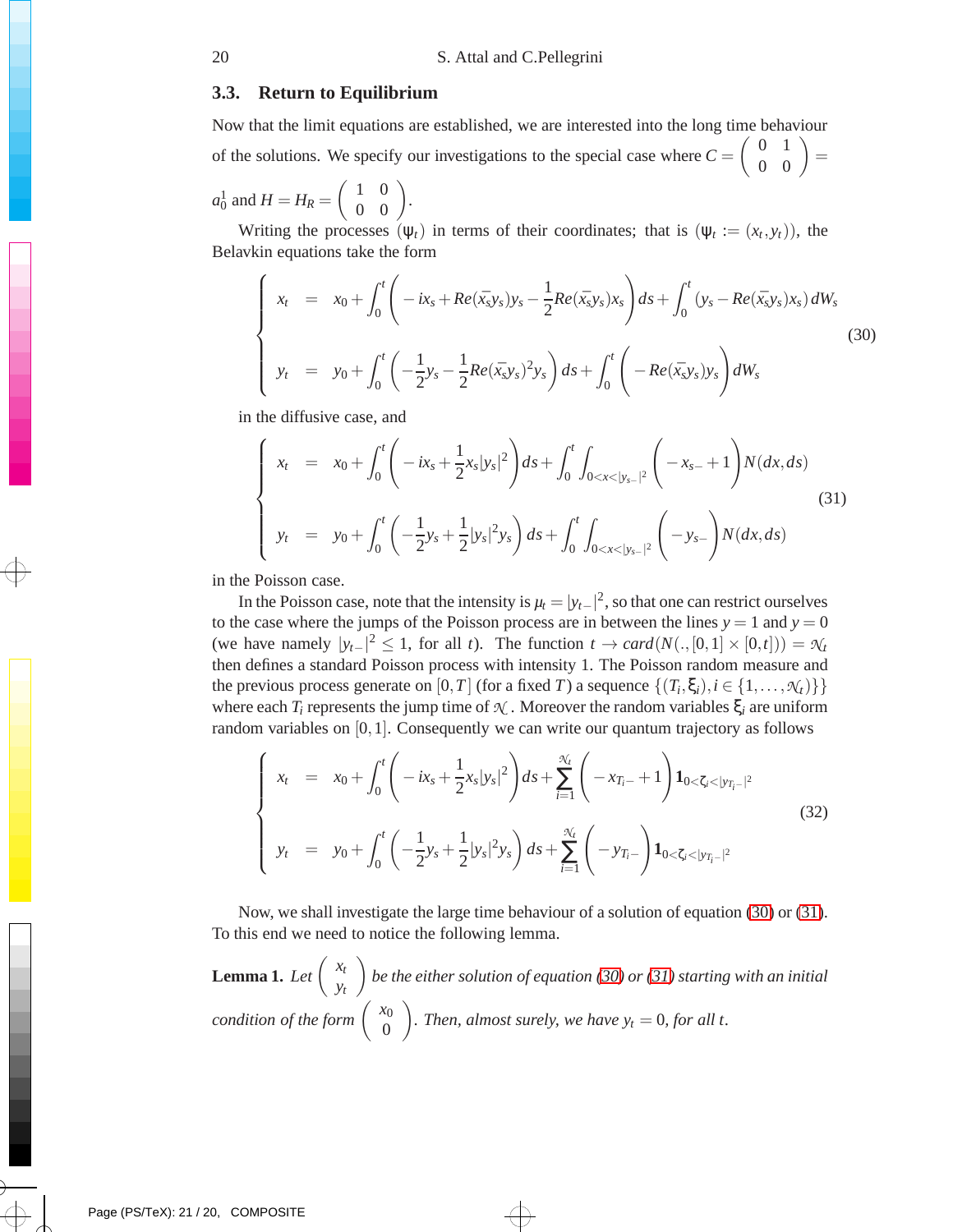#### **3.3. Return to Equilibrium**

Now that the limit equations are established, we are interested into the long time behaviour of the solutions. We specify our investigations to the special case where  $C = \begin{pmatrix} 0 & 1 \\ 0 & 0 \end{pmatrix}$ 

 $a_0^1$  and  $H = H_R = \begin{pmatrix} 1 & 0 \\ 0 & 0 \end{pmatrix}$ .

Writing the processes  $(\psi_t)$  in terms of their coordinates; that is  $(\psi_t := (x_t, y_t))$ , the Belavkin equations take the form

<span id="page-20-0"></span>
$$
\begin{cases}\n x_t = x_0 + \int_0^t \left( -ix_s + Re(\bar{x}_s y_s) y_s - \frac{1}{2} Re(\bar{x}_s y_s) x_s \right) ds + \int_0^t (y_s - Re(\bar{x}_s y_s) x_s) dW_s \\
 y_t = y_0 + \int_0^t \left( -\frac{1}{2} y_s - \frac{1}{2} Re(\bar{x}_s y_s)^2 y_s \right) ds + \int_0^t \left( -Re(\bar{x}_s y_s) y_s \right) dW_s\n\end{cases}
$$
\n(30)

in the diffusive case, and

<span id="page-20-1"></span>
$$
\begin{cases}\nx_t = x_0 + \int_0^t \left( -ix_s + \frac{1}{2}x_s|y_s|^2 \right) ds + \int_0^t \int_{0 < x < |y_{s-}|^2} \left( -x_{s-} + 1 \right) N(dx, ds) \\
y_t = y_0 + \int_0^t \left( -\frac{1}{2}y_s + \frac{1}{2}|y_s|^2 y_s \right) ds + \int_0^t \int_{0 < x < |y_{s-}|^2} \left( -y_{s-} \right) N(dx, ds)\n\end{cases}
$$
\n(31)

in the Poisson case.

In the Poisson case, note that the intensity is  $\mu_t = |y_t|^{2}$ , so that one can restrict ourselves to the case where the jumps of the Poisson process are in between the lines  $y = 1$  and  $y = 0$ (we have namely  $|y_t| \leq 1$ , for all *t*). The function  $t \to card(N(.,[0,1] \times [0,t])) = N_t$ then defines a standard Poisson process with intensity 1. The Poisson random measure and the previous process generate on  $[0, T]$  (for a fixed *T*) a sequence  $\{(T_i, \xi_i), i \in \{1, ..., \mathcal{N}_t\}\}\$ where each  $T_i$  represents the jump time of  $\mathcal{N}$ . Moreover the random variables  $\xi_i$  are uniform random variables on [0,1]. Consequently we can write our quantum trajectory as follows

$$
\begin{cases}\nx_t = x_0 + \int_0^t \left( -ix_s + \frac{1}{2}x_s|y_s|^2 \right) ds + \sum_{i=1}^{\mathcal{N}_t} \left( -x_{T_i-} + 1 \right) \mathbf{1}_{0 < \zeta_i < |y_{T_i-}|^2} \\
y_t = y_0 + \int_0^t \left( -\frac{1}{2}y_s + \frac{1}{2}|y_s|^2 y_s \right) ds + \sum_{i=1}^{\mathcal{N}_t} \left( -y_{T_i-} \right) \mathbf{1}_{0 < \zeta_i < |y_{T_i-}|^2}\n\end{cases}
$$
\n(32)

Now, we shall investigate the large time behaviour of a solution of equation [\(30\)](#page-20-0) or [\(31\)](#page-20-1). To this end we need to notice the following lemma.

**Lemma 1.** Let  $\begin{pmatrix} x_t \\ y_t \end{pmatrix}$ *yt be the either solution of equation [\(30\)](#page-20-0) or [\(31\)](#page-20-1) starting with an initial condition of the form*  $\begin{pmatrix} x_0 \\ 0 \end{pmatrix}$ 0 *f*. Then, almost surely, we have  $y_t = 0$ , for all t.

 $\bigoplus$ 

 $\rightarrow$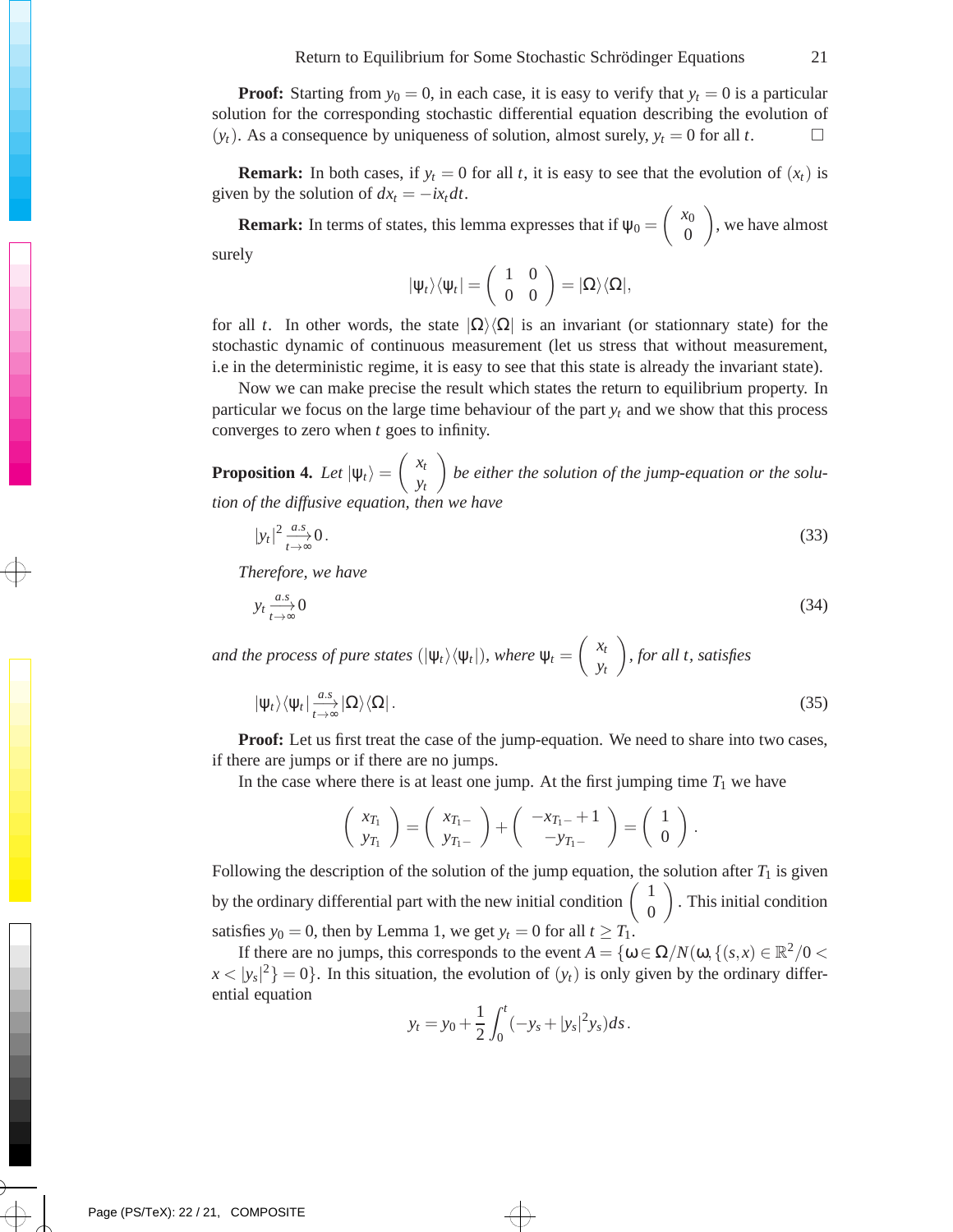**Proof:** Starting from  $y_0 = 0$ , in each case, it is easy to verify that  $y_t = 0$  is a particular solution for the corresponding stochastic differential equation describing the evolution of  $(y_t)$ . As a consequence by uniqueness of solution, almost surely,  $y_t = 0$  for all *t*.

**Remark:** In both cases, if  $y_t = 0$  for all *t*, it is easy to see that the evolution of  $(x_t)$  is given by the solution of  $dx_t = -ix_t dt$ .

**Remark:** In terms of states, this lemma expresses that if  $\psi_0 = \begin{pmatrix} x_0 \\ 0 \end{pmatrix}$ 0 , we have almost surely

$$
|\psi_t\rangle\langle\psi_t| = \begin{pmatrix} 1 & 0 \\ 0 & 0 \end{pmatrix} = |\Omega\rangle\langle\Omega|,
$$

for all *t*. In other words, the state  $|\Omega\rangle\langle\Omega|$  is an invariant (or stationnary state) for the stochastic dynamic of continuous measurement (let us stress that without measurement, i.e in the deterministic regime, it is easy to see that this state is already the invariant state).

Now we can make precise the result which states the return to equilibrium property. In particular we focus on the large time behaviour of the part *y<sup>t</sup>* and we show that this process converges to zero when *t* goes to infinity.

**Proposition 4.** Let  $|\psi_t\rangle = \begin{pmatrix} x_t \\ y_t \end{pmatrix}$ *yt be either the solution of the jump-equation or the solution of the diffusive equation, then we have*

$$
|y_t|^2 \xrightarrow[t \to \infty]{as} 0. \tag{33}
$$

*Therefore, we have*

$$
y_t \xrightarrow[t \to \infty]{a.s} 0 \tag{34}
$$

*and the process of pure states*  $(|\psi_t\rangle\langle\psi_t|)$ *, where*  $\psi_t = \begin{pmatrix} x_t \ y_t \end{pmatrix}$ *yt , for all t, satisfies*

$$
|\psi_t\rangle\langle\psi_t|\frac{a.s}{t\rightarrow\infty}|\Omega\rangle\langle\Omega|.\tag{35}
$$

**Proof:** Let us first treat the case of the jump-equation. We need to share into two cases, if there are jumps or if there are no jumps.

In the case where there is at least one jump. At the first jumping time  $T_1$  we have

$$
\left(\begin{array}{c}x_{T_1}\\y_{T_1}\end{array}\right)=\left(\begin{array}{c}x_{T_1-}\\y_{T_1-}\end{array}\right)+\left(\begin{array}{c}-x_{T_1-}+1\\-y_{T_1-}\end{array}\right)=\left(\begin{array}{c}1\\0\end{array}\right).
$$

Following the description of the solution of the jump equation, the solution after  $T_1$  is given by the ordinary differential part with the new initial condition  $\begin{pmatrix} 1 \\ 0 \end{pmatrix}$  $\boldsymbol{0}$  . This initial condition satisfies  $y_0 = 0$ , then by Lemma 1, we get  $y_t = 0$  for all  $t \geq T_1$ .

If there are no jumps, this corresponds to the event  $A = \{ \omega \in \Omega / N(\omega, \{(s, x) \in \mathbb{R}^2 / 0 \leq \omega \})\}$  $x < |y_s|^2$  = 0}. In this situation, the evolution of  $(y_t)$  is only given by the ordinary differential equation

$$
y_t = y_0 + \frac{1}{2} \int_0^t (-y_s + |y_s|^2 y_s) ds.
$$

Page (PS/TeX): 22 / 21, COMPOSITE

 $\rightarrow$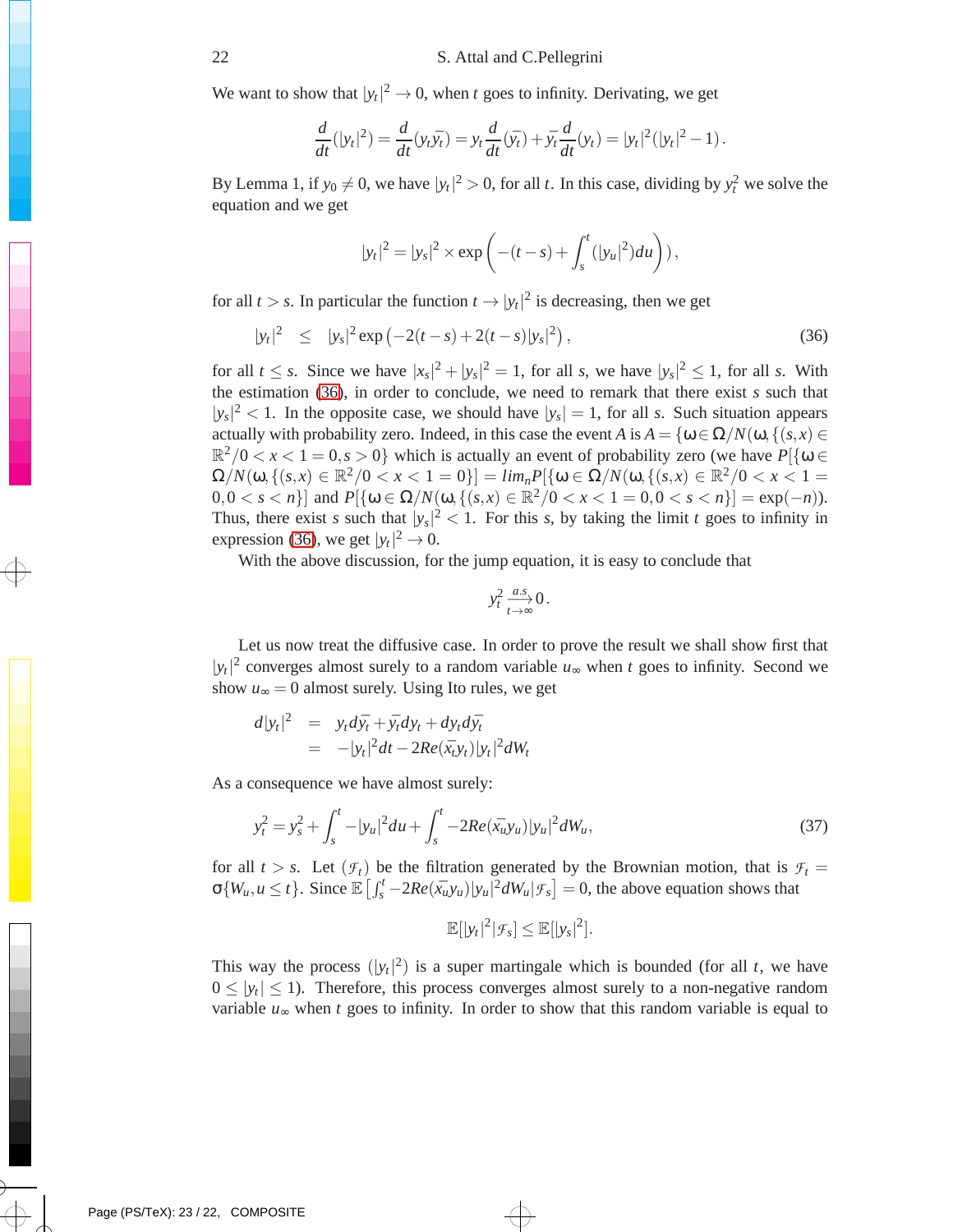We want to show that  $|y_t|^2 \to 0$ , when *t* goes to infinity. Derivating, we get

$$
\frac{d}{dt}(|y_t|^2) = \frac{d}{dt}(y_t\bar{y}_t) = y_t\frac{d}{dt}(\bar{y}_t) + \bar{y}_t\frac{d}{dt}(y_t) = |y_t|^2(|y_t|^2 - 1).
$$

By Lemma 1, if  $y_0 \neq 0$ , we have  $|y_t|^2 > 0$ , for all *t*. In this case, dividing by  $y_t^2$  we solve the equation and we get

$$
|y_t|^2 = |y_s|^2 \times \exp\left(-(t-s) + \int_s^t (|y_u|^2) du\right),
$$

for all  $t > s$ . In particular the function  $t \to |y_t|^2$  is decreasing, then we get

$$
|y_t|^2 \leq |y_s|^2 \exp\left(-2(t-s) + 2(t-s)|y_s|^2\right),\tag{36}
$$

<span id="page-22-0"></span>for all  $t \leq s$ . Since we have  $|x_s|^2 + |y_s|^2 = 1$ , for all *s*, we have  $|y_s|^2 \leq 1$ , for all *s*. With the estimation [\(36\)](#page-22-0), in order to conclude, we need to remark that there exist *s* such that  $|y_s|^2 < 1$ . In the opposite case, we should have  $|y_s| = 1$ , for all *s*. Such situation appears actually with probability zero. Indeed, in this case the event *A* is  $A = \{\omega \in \Omega/N(\omega, \{(s, x) \in \Omega)\}$  $\mathbb{R}^2/0 < x < 1 = 0, s > 0$ } which is actually an event of probability zero (we have  $P[\{\omega \in \mathbb{R}^2 \mid \omega \in \mathbb{R}^2 \mid \omega \in \mathbb{R}^2 \mid \omega \in \mathbb{R}^2 \mid \omega \in \mathbb{R}^2 \mid \omega \in \mathbb{R}^2 \mid \omega \in \mathbb{R}^2 \mid \omega \in \mathbb{R}^2 \mid \omega \in \mathbb{R}^2 \mid \omega \in \mathbb{R$  $\Omega/N(\omega, \{(s, x) \in \mathbb{R}^2/0 < x < 1 = 0\}) = \lim_{n \to \infty} P[\{\omega \in \Omega/N(\omega, \{(s, x) \in \mathbb{R}^2/0 < x < 1 = 0\})\}]$  $0, 0 < s < n$ } and  $P[\{\omega \in \Omega/N(\omega, \{(s, x) \in \mathbb{R}^2/0 < x < 1 = 0, 0 < s < n\}] = \exp(-n)$ . Thus, there exist *s* such that  $|y_s|^2 < 1$ . For this *s*, by taking the limit *t* goes to infinity in expression [\(36\)](#page-22-0), we get  $|y_t|^2 \to 0$ .

With the above discussion, for the jump equation, it is easy to conclude that

$$
y_t^2 \mathop{\longrightarrow}\limits^{\mathit{a.s}}_{t\to\infty} 0\,.
$$

Let us now treat the diffusive case. In order to prove the result we shall show first that  $|y_t|^2$  converges almost surely to a random variable  $u_\infty$  when *t* goes to infinity. Second we show  $u_{\infty} = 0$  almost surely. Using Ito rules, we get

$$
d|y_t|^2 = y_t d\bar{y}_t + \bar{y}_t dy_t + dy_t d\bar{y}_t
$$
  
= 
$$
-|y_t|^2 dt - 2Re(\bar{x}_t y_t)|y_t|^2 dW_t
$$

As a consequence we have almost surely:

$$
y_t^2 = y_s^2 + \int_s^t -|y_u|^2 du + \int_s^t -2Re(\bar{x_u}y_u)|y_u|^2 dW_u, \tag{37}
$$

for all  $t > s$ . Let  $(f_t)$  be the filtration generated by the Brownian motion, that is  $f_t =$  $\sigma\{W_u, u \le t\}$ . Since  $\mathbb{E}\left[\int_s^t -2Re(\bar{x}_u y_u)|y_u|^2 dW_u | \mathcal{F}_s\right] = 0$ , the above equation shows that

<span id="page-22-1"></span> $\mathbb{E}[|y_t|^2 | \mathcal{F}_s] \leq \mathbb{E}[|y_s|^2].$ 

This way the process  $(|y_t|^2)$  is a super martingale which is bounded (for all *t*, we have  $0 \le |y_t| \le 1$ ). Therefore, this process converges almost surely to a non-negative random variable  $u_{\infty}$  when  $t$  goes to infinity. In order to show that this random variable is equal to

Page (PS/TeX): 23 / 22, COMPOSITE

 $\rightarrow$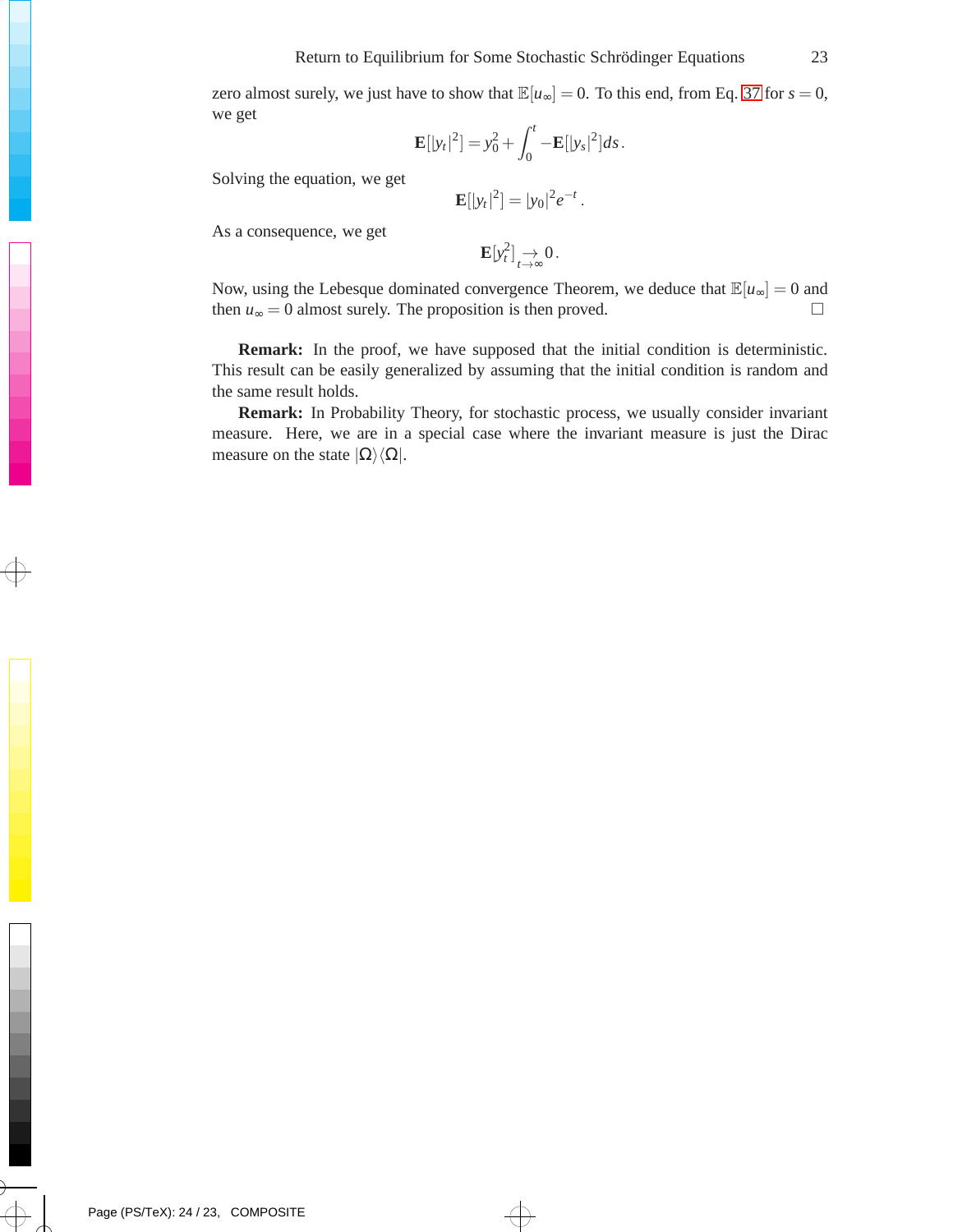zero almost surely, we just have to show that  $\mathbb{E}[u_{\infty}] = 0$ . To this end, from Eq. [37](#page-22-1) for  $s = 0$ , we get

$$
\mathbf{E}[|y_t|^2] = y_0^2 + \int_0^t - \mathbf{E}[|y_s|^2]ds.
$$

Solving the equation, we get

$$
\mathbf{E}[|y_t|^2] = |y_0|^2 e^{-t}
$$

.

As a consequence, we get

$$
\mathbf{E}[y_t^2] \underset{t \to \infty}{\to} 0.
$$

Now, using the Lebesque dominated convergence Theorem, we deduce that  $\mathbb{E}[u_{\infty}] = 0$  and then  $u_{\infty} = 0$  almost surely. The proposition is then proved.

**Remark:** In the proof, we have supposed that the initial condition is deterministic. This result can be easily generalized by assuming that the initial condition is random and the same result holds.

**Remark:** In Probability Theory, for stochastic process, we usually consider invariant measure. Here, we are in a special case where the invariant measure is just the Dirac measure on the state  $|\Omega\rangle\langle\Omega|$ .

 $\rightarrow$ 

 $\overline{\bigoplus}$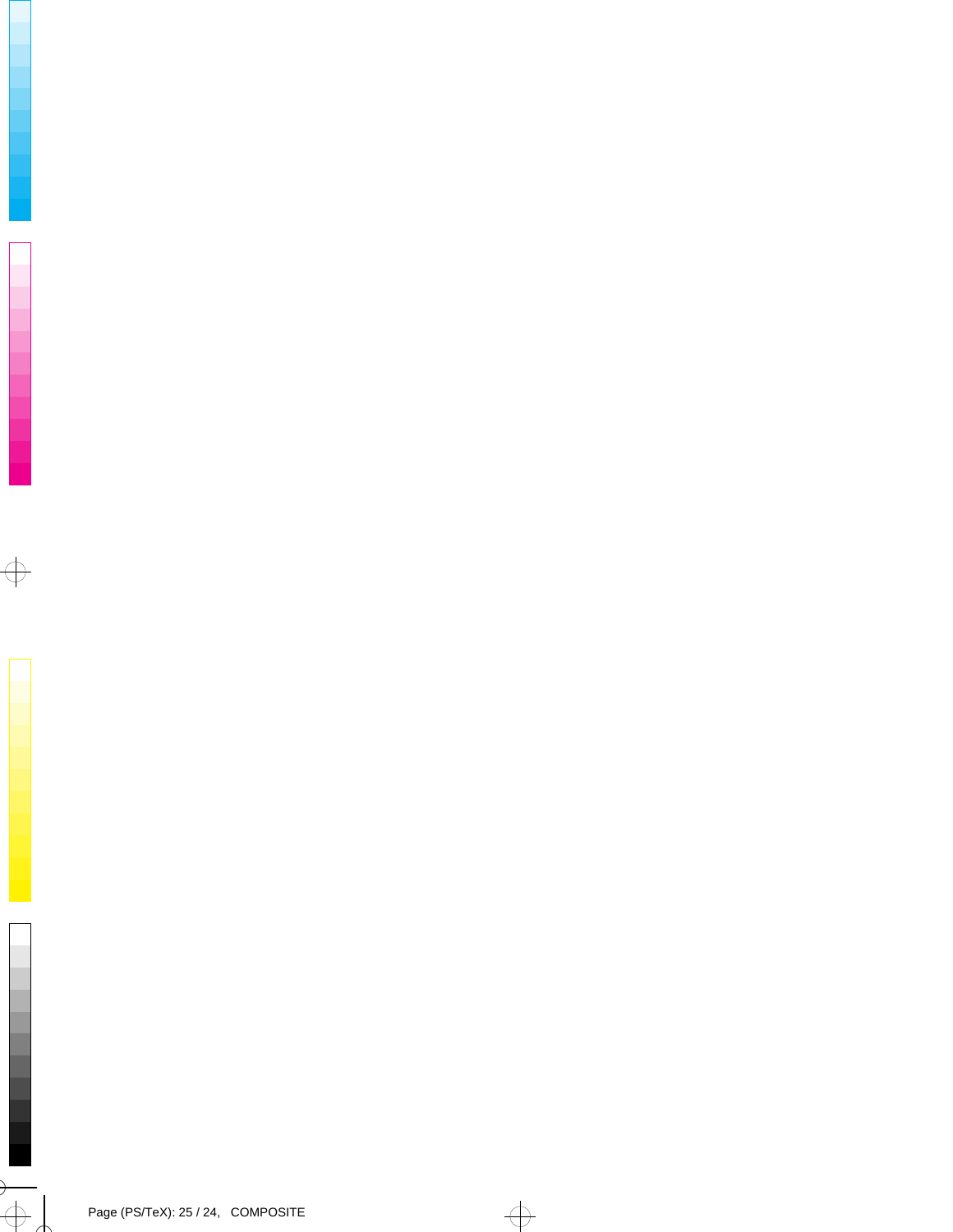

 $\overline{\varphi}$ 

 $\overleftarrow{\bigoplus}$ 

l

 $\overline{\phantom{a}}$ 

 $\bigoplus$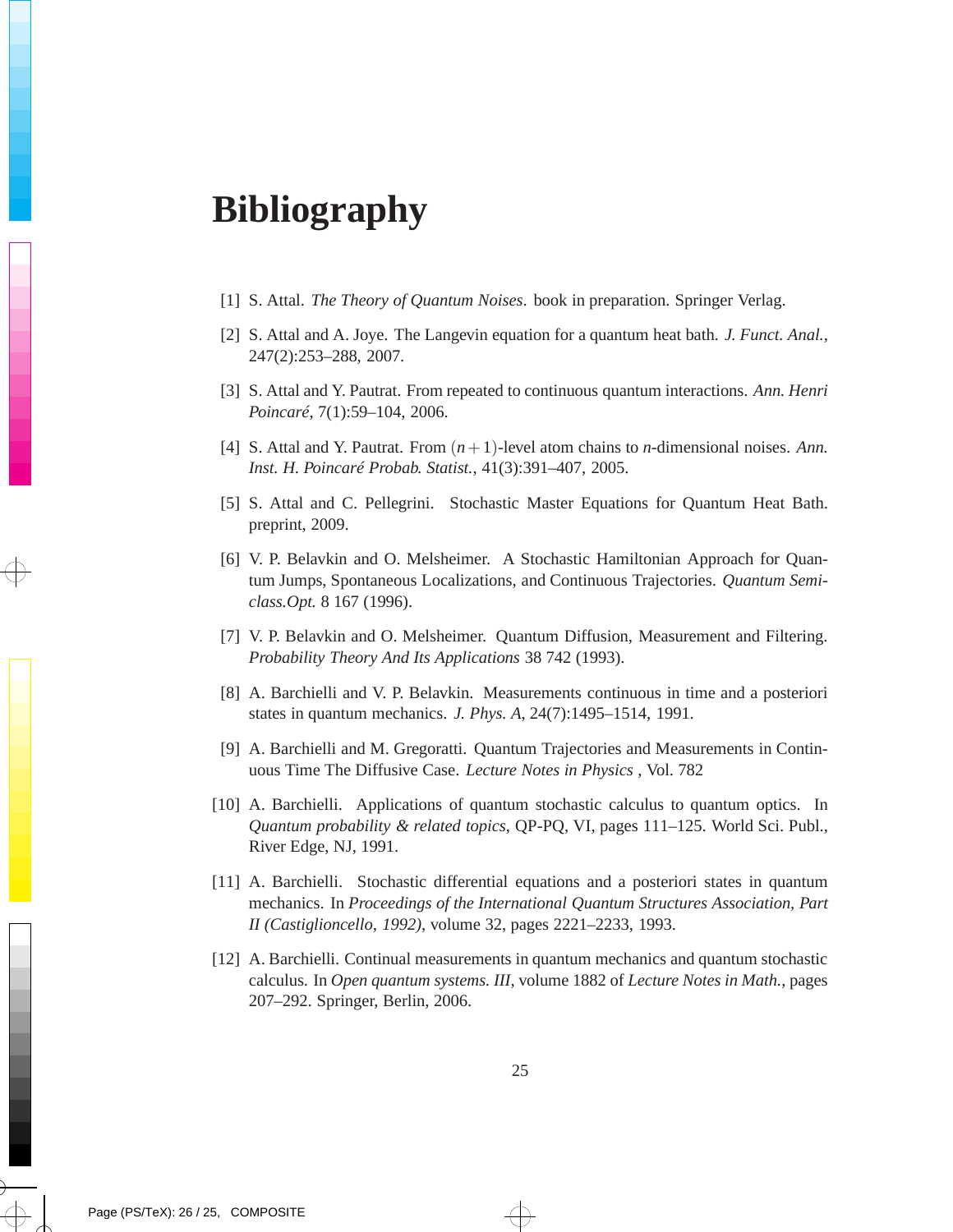# **Bibliography**

- [1] S. Attal. *The Theory of Quantum Noises*. book in preparation. Springer Verlag.
- <span id="page-25-8"></span><span id="page-25-0"></span>[2] S. Attal and A. Joye. The Langevin equation for a quantum heat bath. *J. Funct. Anal.*, 247(2):253–288, 2007.
- <span id="page-25-9"></span>[3] S. Attal and Y. Pautrat. From repeated to continuous quantum interactions. *Ann. Henri Poincaré*, 7(1):59–104, 2006.
- [4] S. Attal and Y. Pautrat. From (*n*+1)-level atom chains to *n*-dimensional noises. *Ann. Inst. H. Poincaré Probab. Statist.*, 41(3):391–407, 2005.
- <span id="page-25-10"></span>[5] S. Attal and C. Pellegrini. Stochastic Master Equations for Quantum Heat Bath. preprint, 2009.
- <span id="page-25-3"></span>[6] V. P. Belavkin and O. Melsheimer. A Stochastic Hamiltonian Approach for Quantum Jumps, Spontaneous Localizations, and Continuous Trajectories. *Quantum Semiclass.Opt.* 8 167 (1996).
- <span id="page-25-4"></span>[7] V. P. Belavkin and O. Melsheimer. Quantum Diffusion, Measurement and Filtering. *Probability Theory And Its Applications* 38 742 (1993).
- <span id="page-25-1"></span>[8] A. Barchielli and V. P. Belavkin. Measurements continuous in time and a posteriori states in quantum mechanics. *J. Phys. A*, 24(7):1495–1514, 1991.
- <span id="page-25-6"></span>[9] A. Barchielli and M. Gregoratti. Quantum Trajectories and Measurements in Continuous Time The Diffusive Case. *Lecture Notes in Physics* , Vol. 782
- <span id="page-25-5"></span>[10] A. Barchielli. Applications of quantum stochastic calculus to quantum optics. In *Quantum probability & related topics*, QP-PQ, VI, pages 111–125. World Sci. Publ., River Edge, NJ, 1991.
- <span id="page-25-7"></span>[11] A. Barchielli. Stochastic differential equations and a posteriori states in quantum mechanics. In *Proceedings of the International Quantum Structures Association, Part II (Castiglioncello, 1992)*, volume 32, pages 2221–2233, 1993.
- <span id="page-25-2"></span>[12] A. Barchielli. Continual measurements in quantum mechanics and quantum stochastic calculus. In *Open quantum systems. III*, volume 1882 of *Lecture Notes in Math.*, pages 207–292. Springer, Berlin, 2006.

 $\bigoplus$ 

Page (PS/TeX): 26 / 25, COMPOSITE

 $\rightarrow$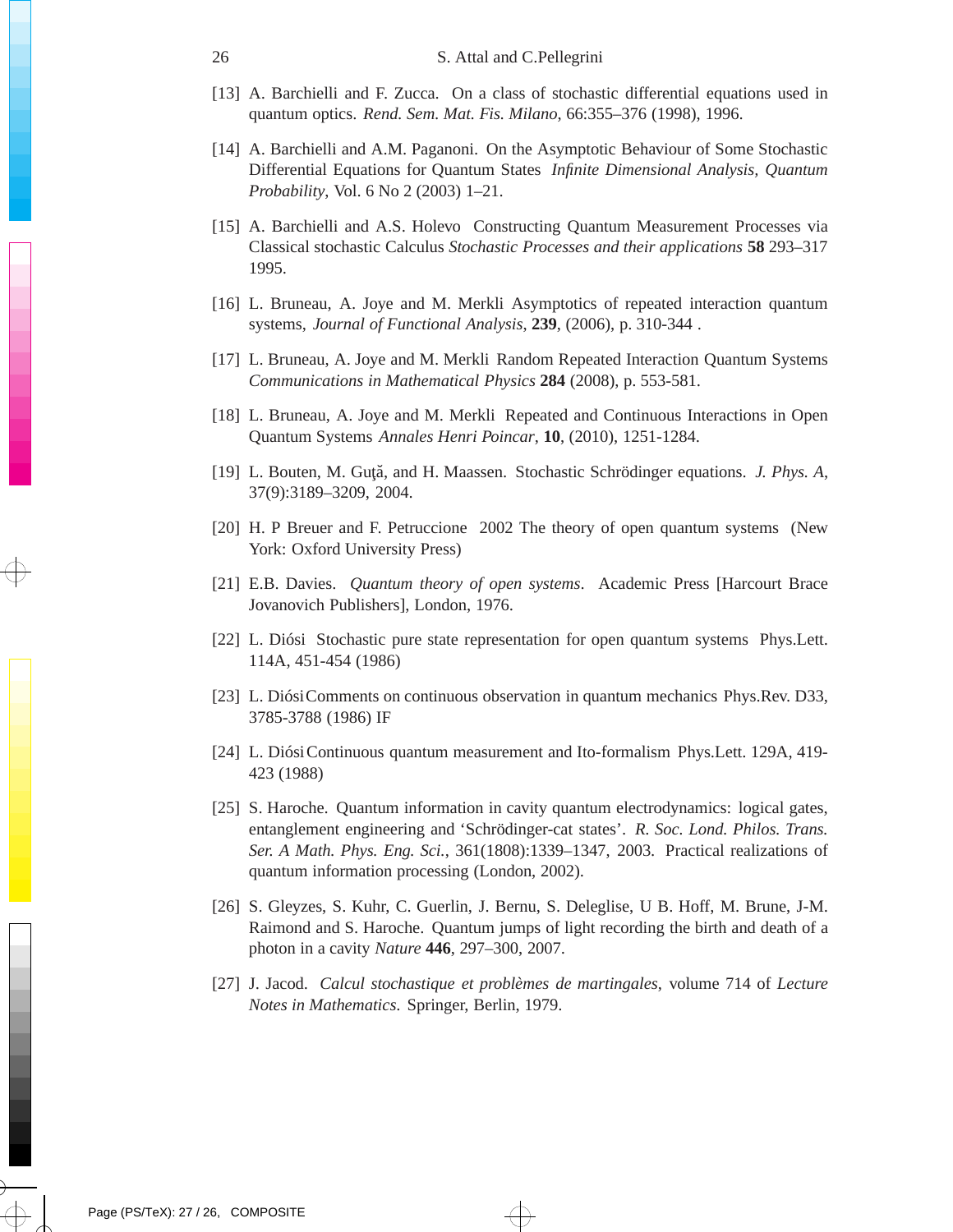- <span id="page-26-5"></span>[13] A. Barchielli and F. Zucca. On a class of stochastic differential equations used in quantum optics. *Rend. Sem. Mat. Fis. Milano*, 66:355–376 (1998), 1996.
- [14] A. Barchielli and A.M. Paganoni. On the Asymptotic Behaviour of Some Stochastic Differential Equations for Quantum States *Infinite Dimensional Analysis, Quantum Probability*, Vol. 6 No 2 (2003) 1–21.
- <span id="page-26-6"></span>[15] A. Barchielli and A.S. Holevo Constructing Quantum Measurement Processes via Classical stochastic Calculus *Stochastic Processes and their applications* **58** 293–317 1995.
- <span id="page-26-9"></span>[16] L. Bruneau, A. Joye and M. Merkli Asymptotics of repeated interaction quantum systems, *Journal of Functional Analysis*, **239**, (2006), p. 310-344 .
- [17] L. Bruneau, A. Joye and M. Merkli Random Repeated Interaction Quantum Systems *Communications in Mathematical Physics* **284** (2008), p. 553-581.
- <span id="page-26-10"></span>[18] L. Bruneau, A. Joye and M. Merkli Repeated and Continuous Interactions in Open Quantum Systems *Annales Henri Poincar*, **10**, (2010), 1251-1284.
- <span id="page-26-8"></span>[19] L. Bouten, M. Guță, and H. Maassen. Stochastic Schrödinger equations. *J. Phys. A*, 37(9):3189–3209, 2004.
- <span id="page-26-2"></span>[20] H. P Breuer and F. Petruccione 2002 The theory of open quantum systems (New York: Oxford University Press)
- [21] E.B. Davies. *Quantum theory of open systems*. Academic Press [Harcourt Brace Jovanovich Publishers], London, 1976.
- <span id="page-26-3"></span>[22] L. Diósi Stochastic pure state representation for open quantum systems Phys.Lett. 114A, 451-454 (1986)
- <span id="page-26-4"></span>[23] L. DiósiComments on continuous observation in quantum mechanics Phys.Rev. D33, 3785-3788 (1986) IF
- <span id="page-26-7"></span>[24] L. DiósiContinuous quantum measurement and Ito-formalism Phys.Lett. 129A, 419- 423 (1988)
- <span id="page-26-0"></span>[25] S. Haroche. Quantum information in cavity quantum electrodynamics: logical gates, entanglement engineering and 'Schrödinger-cat states'. *R. Soc. Lond. Philos. Trans. Ser. A Math. Phys. Eng. Sci.*, 361(1808):1339–1347, 2003. Practical realizations of quantum information processing (London, 2002).
- <span id="page-26-1"></span>[26] S. Gleyzes, S. Kuhr, C. Guerlin, J. Bernu, S. Deleglise, U B. Hoff, M. Brune, J-M. Raimond and S. Haroche. Quantum jumps of light recording the birth and death of a photon in a cavity *Nature* **446**, 297–300, 2007.
- [27] J. Jacod. *Calcul stochastique et problèmes de martingales*, volume 714 of *Lecture Notes in Mathematics*. Springer, Berlin, 1979.

 $\rightarrow$